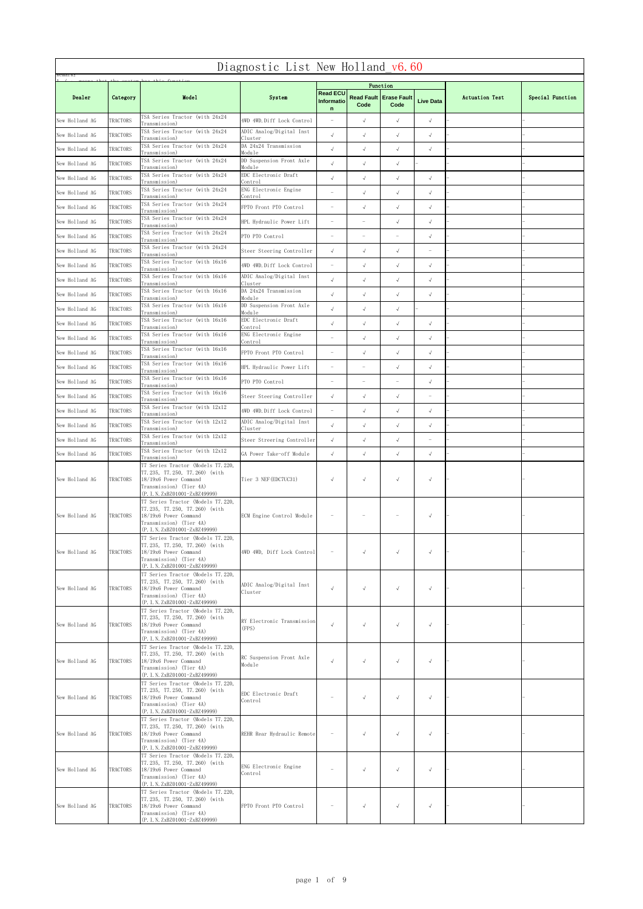| иешагк:        | Diagnostic List New Holland v6.60 |                                                                                                                                                                           |                                       |                                                      |                          |                                                     |                          |                       |                  |  |  |
|----------------|-----------------------------------|---------------------------------------------------------------------------------------------------------------------------------------------------------------------------|---------------------------------------|------------------------------------------------------|--------------------------|-----------------------------------------------------|--------------------------|-----------------------|------------------|--|--|
| Dealer         | Category                          | Mode1                                                                                                                                                                     | System                                | <b>Read ECU</b><br><b>Informatio</b><br>$\mathsf{n}$ | Code                     | Function<br><b>Read Fault   Erase Fault</b><br>Code | <b>Live Data</b>         | <b>Actuation Test</b> | Special Function |  |  |
| New Holland AG | TRACTORS                          | ISA Series Tractor (with 24x24<br>[ransmission)                                                                                                                           | 4WD 4WD.Diff Lock Control             |                                                      | $\sqrt{ }$               | $\sqrt{ }$                                          | $\sqrt{ }$               |                       |                  |  |  |
| New Holland AG | TRACTORS                          | TSA Series Tractor (with 24x24<br>Transmission)                                                                                                                           | ADIC Analog/Digital Inst<br>Cluster   | $\sqrt{ }$                                           | $\sqrt{ }$               | $\sqrt{ }$                                          | $\sqrt{ }$               |                       |                  |  |  |
| New Holland AG | TRACTORS                          | TSA Series Tractor (with 24x24<br>[ransmission)                                                                                                                           | DA 24x24 Transmission<br>Module       | $\sqrt{ }$                                           | $\sqrt{ }$               | $\sqrt{ }$                                          | $\sqrt{ }$               |                       |                  |  |  |
| New Holland AG | TRACTORS                          | TSA Series Tractor (with 24x24<br>Transmission)                                                                                                                           | DD Suspension Front Axle<br>Module    | $\sqrt{ }$                                           | $\sqrt{ }$               | $\sqrt{ }$                                          |                          |                       |                  |  |  |
| New Holland AG | TRACTORS                          | TSA Series Tractor (with 24x24<br>[ransmission)                                                                                                                           | EDC Electronic Draft<br>Control       | $\sqrt{ }$                                           | $\sqrt{ }$               | $\sqrt{ }$                                          | $\sqrt{ }$               |                       |                  |  |  |
| New Holland AG | TRACTORS                          | TSA Series Tractor (with 24x24<br>Transmission)                                                                                                                           | ENG Electronic Engine<br>Control      | $\overline{\phantom{a}}$                             | $\sqrt{ }$               | $\sqrt{ }$                                          | $\sqrt{ }$               |                       |                  |  |  |
| New Holland AG | TRACTORS                          | TSA Series Tractor (with 24x24<br>[ransmission)                                                                                                                           | FPTO Front PTO Control                | $\overline{\phantom{m}}$                             | $\sqrt{ }$               | $\sqrt{ }$                                          | $\sqrt{}$                |                       |                  |  |  |
| New Holland AG | TRACTORS                          | TSA Series Tractor (with 24x24<br>[ransmission)                                                                                                                           | HPL Hydraulic Power Lift              | $\overline{\phantom{a}}$                             | $\overline{\phantom{m}}$ | $\sqrt{ }$                                          | $\sqrt{ }$               |                       |                  |  |  |
| New Holland AG | TRACTORS                          | TSA Series Tractor (with 24x24<br>[ransmission)                                                                                                                           | PTO PTO Control                       | $\overline{\phantom{m}}$                             | $\qquad \qquad -$        | $\overline{\phantom{a}}$                            | $\sqrt{ }$               |                       |                  |  |  |
| New Holland AG | TRACTORS                          | TSA Series Tractor (with 24x24<br>Transmission)                                                                                                                           | Steer Steering Controller             | $\sqrt{ }$                                           | $\sqrt{ }$               | $\sqrt{ }$                                          | $\overline{\phantom{a}}$ |                       |                  |  |  |
| New Holland AG | TRACTORS                          | TSA Series Tractor (with 16x16<br>[ransmission)                                                                                                                           | 4WD 4WD.Diff Lock Control             | $\overline{\phantom{m}}$                             | $\sqrt{ }$               | $\sqrt{ }$                                          | $\sqrt{}$                |                       |                  |  |  |
| New Holland AG | TRACTORS                          | TSA Series Tractor (with 16x16<br>[ransmission)                                                                                                                           | ADIC Analog/Digital Inst<br>Cluster   | $\sqrt{ }$                                           | $\sqrt{ }$               | $\sqrt{ }$                                          | $\sqrt{ }$               |                       |                  |  |  |
| New Holland AG | TRACTORS                          | TSA Series Tractor (with 16x16<br>[ransmission)                                                                                                                           | DA 24x24 Transmission<br>Module       | $\sqrt{ }$                                           | $\sqrt{ }$               | $\sqrt{ }$                                          | $\sqrt{ }$               |                       |                  |  |  |
| New Holland AG | TRACTORS                          | TSA Series Tractor (with 16x16<br>Transmission)                                                                                                                           | DD Suspension Front Axle<br>Module    | $\sqrt{ }$                                           | $\sqrt{ }$               | $\sqrt{ }$                                          |                          |                       |                  |  |  |
| New Holland AG | TRACTORS                          | TSA Series Tractor (with 16x16<br>[ransmission)                                                                                                                           | EDC Electronic Draft<br>Control       | $\sqrt{ }$                                           | $\sqrt{ }$               | $\sqrt{ }$                                          | $\sqrt{ }$               |                       |                  |  |  |
| New Holland AG | TRACTORS                          | TSA Series Tractor (with 16x16<br>Transmission)                                                                                                                           | ENG Electronic Engine<br>Control      | $\overline{\phantom{a}}$                             | $\sqrt{ }$               | $\sqrt{ }$                                          | $\sqrt{ }$               |                       |                  |  |  |
| New Holland AG | TRACTORS                          | TSA Series Tractor (with 16x16                                                                                                                                            | FPTO Front PTO Control                | $\overline{\phantom{m}}$                             | $\sqrt{ }$               | $\sqrt{ }$                                          | $\sqrt{ }$               |                       |                  |  |  |
| New Holland AG | TRACTORS                          | [ransmission)<br>TSA Series Tractor (with 16x16                                                                                                                           | HPL Hydraulic Power Lift              | $\overline{\phantom{m}}$                             | $\equiv$                 | $\sqrt{ }$                                          | $\sqrt{ }$               |                       |                  |  |  |
| New Holland AG | TRACTORS                          | Transmission)<br>ISA Series Tractor (with 16x16<br>[ransmission)                                                                                                          | PTO PTO Control                       | $\overline{\phantom{m}}$                             | $\equiv$                 | $\overline{\phantom{m}}$                            | $\sqrt{ }$               |                       |                  |  |  |
| New Holland AG | TRACTORS                          | TSA Series Tractor (with 16x16<br>Transmission)                                                                                                                           | Steer Steering Controller             | $\sqrt{ }$                                           | $\sqrt{ }$               | $\sqrt{ }$                                          | $\equiv$                 |                       |                  |  |  |
| New Holland AG | TRACTORS                          | TSA Series Tractor (with 12x12                                                                                                                                            | 4WD 4WD.Diff Lock Control             | $\overline{\phantom{a}}$                             | $\sqrt{ }$               | $\sqrt{ }$                                          | $\sqrt{ }$               |                       |                  |  |  |
| New Holland AG | TRACTORS                          | Transmission)<br>TSA Series Tractor (with 12x12                                                                                                                           | ADIC Analog/Digital Inst              | $\sqrt{ }$                                           | $\sqrt{ }$               | $\sqrt{ }$                                          | $\sqrt{ }$               |                       |                  |  |  |
| New Holland AG | TRACTORS                          | Transmission)<br>TSA Series Tractor (with 12x12                                                                                                                           | Cluster<br>Steer Streering Controller | $\sqrt{ }$                                           | $\sqrt{ }$               | $\sqrt{ }$                                          | $\overline{\phantom{a}}$ |                       |                  |  |  |
| New Holland AG | TRACTORS                          | [ransmission)<br>TSA Series Tractor (with 12x12                                                                                                                           | GA Power Take-off Module              | $\sqrt{ }$                                           | $\sqrt{ }$               | $\sqrt{ }$                                          | $\sqrt{ }$               |                       |                  |  |  |
| New Holland AG | TRACTORS                          | Transmission)<br>T7 Series Tractor (Models T7.220,<br>T7.235, T7.250, T7.260) (with<br>18/19x6 Power Command<br>Transmission) (Tier 4A)<br>(P. I. N. ZxBZ01001-ZxBZ49999) | Tier 3 NEF (EDC7UC31)                 | $\sqrt{ }$                                           | $\sqrt{ }$               | $\sqrt{ }$                                          | $\sqrt{ }$               |                       |                  |  |  |
| New Holland AG | TRACTORS                          | T7 Series Tractor (Models T7.220,<br>T7.235, T7.250, T7.260) (with<br>18/19x6 Power Command<br>Transmission) (Tier 4A)<br>(P. I. N. ZxBZ01001-ZxBZ49999)                  | ECM Engine Control Module             |                                                      |                          |                                                     | $\sqrt{ }$               |                       |                  |  |  |
| New Holland AG | TRACTORS                          | T7 Series Tractor (Models T7.220,<br>T7.235, T7.250, T7.260) (with<br>18/19x6 Power Command<br>Transmission) (Tier 4A)<br>(P. I. N. ZxBZ01001-ZxBZ49999)                  | 4WD 4WD, Diff Lock Control            |                                                      | $\sqrt{ }$               | $\sqrt{ }$                                          | $\sqrt{ }$               |                       |                  |  |  |
| New Holland AG | TRACTORS                          | T7 Series Tractor (Models T7.220,<br>T7.235, T7.250, T7.260) (with<br>18/19x6 Power Command<br>Transmission) (Tier 4A)<br>(P. I. N. ZxBZ01001-ZxBZ49999)                  | ADIC Analog/Digital Inst<br>Cluster   | $\sqrt{ }$                                           | $\sqrt{ }$               | $\sqrt{ }$                                          | $\sqrt{ }$               |                       |                  |  |  |
| New Holland AG | TRACTORS                          | T7 Series Tractor (Models T7.220,<br>T7.235, T7.250, T7.260) (with<br>18/19x6 Power Command<br>Transmission) (Tier 4A)<br>(P. I. N. ZxBZ01001-ZxBZ49999)                  | RY Electronic Transmission<br>(FPS)   | $\sqrt{ }$                                           | $\sqrt{ }$               | $\sqrt{ }$                                          | $\sqrt{ }$               |                       |                  |  |  |
| New Holland AG | TRACTORS                          | T7 Series Tractor (Models T7.220,<br>T7.235, T7.250, T7.260) (with<br>18/19x6 Power Command<br>Transmission) (Tier 4A)<br>(P. I. N. ZxBZ01001-ZxBZ49999)                  | RC Suspension Front Axle<br>Module    | $\sqrt{ }$                                           | $\sqrt{ }$               | $\sqrt{ }$                                          | $\sqrt{ }$               |                       |                  |  |  |
| New Holland AG | TRACTORS                          | T7 Series Tractor (Models T7.220,<br>T7.235, T7.250, T7.260) (with<br>18/19x6 Power Command<br>Transmission) (Tier 4A)<br>(P. I. N. ZxBZ01001-ZxBZ49999)                  | EDC Electronic Draft<br>Control       |                                                      | $\sqrt{ }$               | $\sqrt{ }$                                          | $\sqrt{ }$               |                       |                  |  |  |
| New Holland AG | TRACTORS                          | T7 Series Tractor (Models T7.220,<br>T7.235, T7.250, T7.260) (with<br>18/19x6 Power Command<br>Transmission) (Tier 4A)<br>(P. I. N. ZxBZ01001-ZxBZ49999)                  | REHR Rear Hydraulic Remote            |                                                      | $\sqrt{ }$               | $\sqrt{ }$                                          | $\sqrt{ }$               |                       |                  |  |  |
| New Holland AG | TRACTORS                          | T7 Series Tractor (Models T7.220,<br>T7.235, T7.250, T7.260) (with<br>18/19x6 Power Command<br>Transmission) (Tier 4A)<br>(P. I. N. ZxBZ01001-ZxBZ49999)                  | ENG Electronic Engine<br>Control      |                                                      | $\sqrt{ }$               | $\sqrt{ }$                                          | $\sqrt{ }$               |                       |                  |  |  |
| New Holland AG | TRACTORS                          | T7 Series Tractor (Models T7.220,<br>T7.235, T7.250, T7.260) (with<br>18/19x6 Power Command<br>Transmission) (Tier 4A)<br>(P. I. N. ZxBZ01001-ZxBZ49999)                  | FPTO Front PTO Control                |                                                      | $\sqrt{ }$               | $\sqrt{ }$                                          | $\sqrt{ }$               |                       |                  |  |  |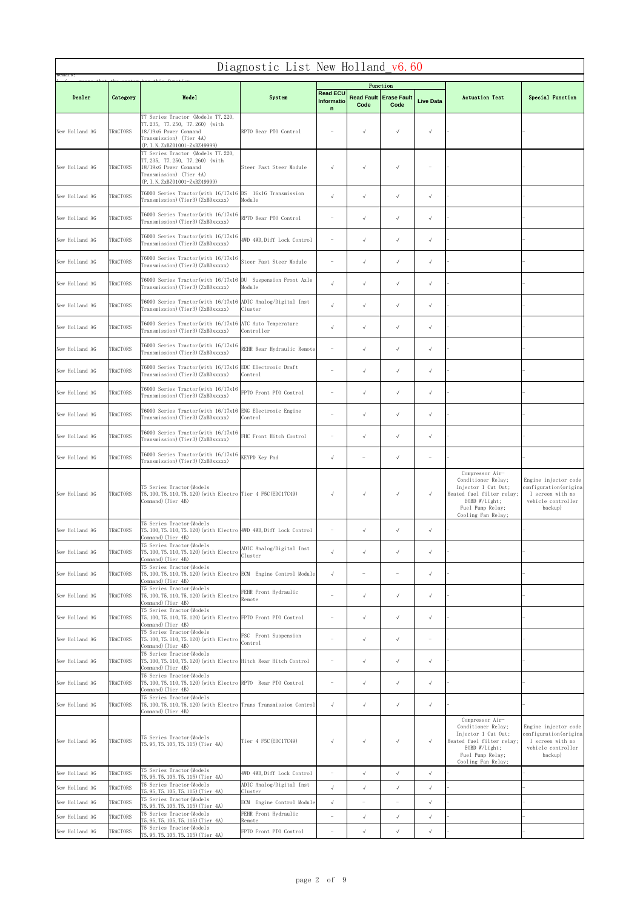|                | Diagnostic List New Holland v6.60 |                                                                                                                                                          |                                     |                                              |                           |                            |                  |                                                                                                                                                        |                                                                                                      |  |  |
|----------------|-----------------------------------|----------------------------------------------------------------------------------------------------------------------------------------------------------|-------------------------------------|----------------------------------------------|---------------------------|----------------------------|------------------|--------------------------------------------------------------------------------------------------------------------------------------------------------|------------------------------------------------------------------------------------------------------|--|--|
| nemark:        |                                   |                                                                                                                                                          |                                     |                                              |                           | Function                   |                  |                                                                                                                                                        |                                                                                                      |  |  |
| Dealer         | Category                          | Mode1                                                                                                                                                    | System                              | <b>Read ECU</b><br>Informatio<br>$\mathbf n$ | <b>Read Fault</b><br>Code | <b>Erase Fault</b><br>Code | <b>Live Data</b> | <b>Actuation Test</b>                                                                                                                                  | Special Function                                                                                     |  |  |
| New Holland AG | TRACTORS                          | T7 Series Tractor (Models T7.220,<br>T7.235, T7.250, T7.260) (with<br>18/19x6 Power Command<br>Transmission) (Tier 4A)<br>(P. I. N. ZxBZ01001-ZxBZ49999) | RPTO Rear PTO Control               |                                              | $\sqrt{ }$                | $\sqrt{ }$                 | $\sqrt{ }$       |                                                                                                                                                        |                                                                                                      |  |  |
| New Holland AG | TRACTORS                          | T7 Series Tractor (Models T7.220,<br>T7.235, T7.250, T7.260) (with<br>18/19x6 Power Command<br>Transmission) (Tier 4A)<br>(P. I. N. ZxBZ01001-ZxBZ49999) | Steer Fast Steer Module             | $\sqrt{ }$                                   | $\sqrt{ }$                | $\sqrt{ }$                 |                  |                                                                                                                                                        |                                                                                                      |  |  |
| New Holland AG | TRACTORS                          | 0000 Series Tractor(with 16/17x16<br>Transmission)(Tier3)(ZxBDxxxxx)                                                                                     | DS 16x16 Transmission<br>Module     | $\sqrt{}$                                    | $\sqrt{ }$                | $\sqrt{ }$                 | $\sqrt{}$        |                                                                                                                                                        |                                                                                                      |  |  |
| New Holland AG | TRACTORS                          | T6000 Series Tractor(with 16/17x16<br>Transmission)(Tier3)(ZxBDxxxxx)                                                                                    | RPTO Rear PTO Control               | ÷                                            | $\sqrt{ }$                | $\sqrt{ }$                 | $\sqrt{}$        |                                                                                                                                                        |                                                                                                      |  |  |
| New Holland AG | TRACTORS                          | T6000 Series Tractor(with 16/17x16<br>Transmission) (Tier3) (ZxBDxxxxx)                                                                                  | 4WD 4WD, Diff Lock Control          | $\overline{\phantom{m}}$                     | $\sqrt{ }$                | $\sqrt{ }$                 | $\sqrt{}$        |                                                                                                                                                        |                                                                                                      |  |  |
| New Holland AG | TRACTORS                          | 0000 Series Tractor(with 16/17x16]<br>Transmission)(Tier3)(ZxBDxxxxx)                                                                                    | Steer Fast Steer Module             |                                              | $\sqrt{ }$                | $\sqrt{ }$                 | $\sqrt{ }$       |                                                                                                                                                        |                                                                                                      |  |  |
| New Holland AG | TRACTORS                          | T6000 Series Tractor(with 16/17x16<br>Transmission)(Tier3)(ZxBDxxxxx)                                                                                    | DU Suspension Front Axle<br>Module  | $\sqrt{}$                                    | $\sqrt{ }$                | $\sqrt{ }$                 | $\sqrt{}$        |                                                                                                                                                        |                                                                                                      |  |  |
| New Holland AG | TRACTORS                          | T6000 Series Tractor(with 16/17x16 ADIC Analog/Digital Inst<br>Transmission)(Tier3)(ZxBDxxxxx)                                                           | Cluster                             | $\sqrt{}$                                    | $\sqrt{ }$                | $\sqrt{ }$                 | $\sqrt{}$        |                                                                                                                                                        |                                                                                                      |  |  |
| New Holland AG | TRACTORS                          | T6000 Series Tractor(with 16/17x16 ATC Auto Temperature<br>Transmission) (Tier3) (ZxBDxxxxx)                                                             | Controller                          | $\sqrt{ }$                                   | $\sqrt{ }$                | $\sqrt{ }$                 | $\sqrt{ }$       |                                                                                                                                                        |                                                                                                      |  |  |
| New Holland AG | TRACTORS                          | T6000 Series Tractor(with 16/17x16<br>Transmission)(Tier3)(ZxBDxxxxx)                                                                                    | REHR Rear Hydraulic Remote          |                                              | $\sqrt{ }$                | $\sqrt{ }$                 | $\sqrt{ }$       |                                                                                                                                                        |                                                                                                      |  |  |
| New Holland AG | TRACTORS                          | T6000 Series Tractor(with 16/17x16 EDC Electronic Draft<br>Transmission) (Tier3) (ZxBDxxxxx)                                                             | Control                             |                                              | $\sqrt{ }$                | $\sqrt{ }$                 | $\sqrt{2}$       |                                                                                                                                                        |                                                                                                      |  |  |
| New Holland AG | TRACTORS                          | T6000 Series Tractor(with 16/17x16<br>Transmission)(Tier3)(ZxBDxxxxx)                                                                                    | FPTO Front PTO Control              | $\qquad \qquad -$                            | $\sqrt{ }$                | $\sqrt{ }$                 | $\sqrt{ }$       |                                                                                                                                                        |                                                                                                      |  |  |
| New Holland AG | TRACTORS                          | 16000 Series Tractor(with 16/17x16 ENG Electronic Engine<br>Transmission)(Tier3)(ZxBDxxxxx)                                                              | Control                             | ÷                                            | $\sqrt{ }$                | $\sqrt{ }$                 | $\sqrt{ }$       |                                                                                                                                                        |                                                                                                      |  |  |
| New Holland AG | TRACTORS                          | T6000 Series Tractor(with 16/17x16<br>Transmission) (Tier3) (ZxBDxxxxx)                                                                                  | FHC Front Hitch Control             |                                              | $\sqrt{ }$                | $\sqrt{ }$                 | $\sqrt{ }$       |                                                                                                                                                        |                                                                                                      |  |  |
| New Holland AG | TRACTORS                          | [6000 Series Tractor(with 16/17x16<br>Transmission) (Tier3) (ZxBDxxxxx)                                                                                  | KEYPD Key Pad                       | $\sqrt{}$                                    | ÷                         | $\sqrt{ }$                 |                  |                                                                                                                                                        |                                                                                                      |  |  |
| New Holland AG | TRACTORS                          | T5 Series Tractor (Models<br>T5.100, T5.110, T5.120) (with Electro Tier 4 F5C (EDC17C49)<br>Command)(Tier 4B)                                            |                                     | $\sqrt{ }$                                   | $\sqrt{ }$                | $\sqrt{}$                  | $\sqrt{ }$       | Compressor Air-<br>Conditioner Relay;<br>Injector 1 Cut Out;<br>Heated fuel filter relay;<br>EOBD $W/Light;$<br>Fuel Pump Relay;<br>Cooling Fan Relay; | Engine injector code<br>configuration (origina<br>1 screen with no<br>vehicle controller<br>backup)  |  |  |
| New Holland AG | <b>TRACTORS</b>                   | T5 Series Tractor (Models<br>T5.100, T5.110, T5.120) (with Electro 4WD 4WD, Diff Lock Control<br>Command) (Tier 4B)                                      |                                     | $\overline{\phantom{m}}$                     | $\sqrt{ }$                | $\sqrt{ }$                 | $\sqrt{ }$       |                                                                                                                                                        |                                                                                                      |  |  |
| New Holland AG | <b>TRACTORS</b>                   | T5 Series Tractor (Models<br>T5. 100, T5. 110, T5. 120) (with Electro<br>Command) (Tier 4B)                                                              | ADIC Analog/Digital Inst<br>Cluster | $\sqrt{}$                                    | $\sqrt{ }$                | $\sqrt{ }$                 | $\sqrt{ }$       |                                                                                                                                                        |                                                                                                      |  |  |
| New Holland AG | TRACTORS                          | T5 Series Tractor(Models<br>T5.100, T5.110, T5.120) (with Electro ECM Engine Control Module<br>Command) (Tier 4B)                                        |                                     | $\sqrt{ }$                                   |                           | $\overline{\phantom{m}}$   | $\sqrt{ }$       |                                                                                                                                                        |                                                                                                      |  |  |
| New Holland AG | TRACTORS                          | T5 Series Tractor (Models<br>T5.100, T5.110, T5.120) (with Electro<br>Command) (Tier 4B)                                                                 | FEHR Front Hydraulic<br>Remote      | ÷                                            | $\sqrt{ }$                | $\sqrt{ }$                 | $\sqrt{ }$       |                                                                                                                                                        |                                                                                                      |  |  |
| New Holland AG | TRACTORS                          | T5 Series Tractor (Models<br>T5.100, T5.110, T5.120) (with Electro FPTO Front PTO Control<br>Command) (Tier 4B)                                          |                                     | ÷                                            | $\sqrt{ }$                | $\sqrt{ }$                 | $\sqrt{ }$       |                                                                                                                                                        |                                                                                                      |  |  |
| New Holland AG | TRACTORS                          | T5 Series Tractor (Models<br>T5.100, T5.110, T5.120) (with Electro<br>Command) (Tier 4B)                                                                 | FSC Front Suspension<br>Control     | ÷                                            | $\sqrt{ }$                | $\sqrt{ }$                 |                  |                                                                                                                                                        |                                                                                                      |  |  |
| New Holland AG | TRACTORS                          | T5 Series Tractor(Models<br>T5.100, T5.110, T5.120) (with Electro Hitch Rear Hitch Control<br>Command) (Tier 4B)                                         |                                     |                                              | $\sqrt{ }$                | $\sqrt{ }$                 | $\sqrt{ }$       |                                                                                                                                                        |                                                                                                      |  |  |
| New Holland AG | TRACTORS                          | T5 Series Tractor (Models<br>T5.100, T5.110, T5.120) (with Electro RPTO Rear PTO Control<br>Command) (Tier 4B)                                           |                                     | $\qquad \qquad -$                            | $\sqrt{ }$                | $\sqrt{ }$                 | $\sqrt{}$        |                                                                                                                                                        |                                                                                                      |  |  |
| New Holland AG | <b>TRACTORS</b>                   | T5 Series Tractor (Models<br>T5.100, T5.110, T5.120) (with Electro Trans Transmission Control<br>Command) (Tier 4B)                                      |                                     | $\sqrt{ }$                                   | $\sqrt{ }$                | $\sqrt{ }$                 | $\sqrt{ }$       |                                                                                                                                                        |                                                                                                      |  |  |
| New Holland AG | <b>TRACTORS</b>                   | T5 Series Tractor (Models<br>T5. 95, T5. 105, T5. 115) (Tier 4A)                                                                                         | Tier 4 F5C (EDC17C49)               | $\sqrt{ }$                                   | $\sqrt{ }$                | $\sqrt{ }$                 | $\sqrt{ }$       | Compressor Air-<br>Conditioner Relay;<br>Injector 1 Cut Out;<br>Heated fuel filter relay;<br>EOBD $W/Light;$<br>Fuel Pump Relay;<br>Cooling Fan Relay; | Engine injector code<br>configuration (origina)<br>1 screen with no<br>vehicle controller<br>backup) |  |  |
| New Holland AG | <b>TRACTORS</b>                   | T5 Series Tractor (Models<br>T5.95, T5.105, T5.115) (Tier 4A)                                                                                            | 4WD 4WD, Diff Lock Control          | $\qquad \qquad -$                            | $\sqrt{ }$                | $\sqrt{ }$                 | $\sqrt{}$        |                                                                                                                                                        |                                                                                                      |  |  |
| New Holland AG | <b>TRACTORS</b>                   | T5 Series Tractor (Models<br>T5.95, T5.105, T5.115) (Tier 4A)                                                                                            | ADIC Analog/Digital Inst<br>Cluster | $\sqrt{ }$                                   | $\sqrt{ }$                | $\sqrt{ }$                 | $\sqrt{ }$       |                                                                                                                                                        |                                                                                                      |  |  |
| New Holland AG | TRACTORS                          | T5 Series Tractor (Models<br>T5.95, T5.105, T5.115) (Tier 4A)                                                                                            | ECM Engine Control Module           | $\sqrt{}$                                    | $\overline{\phantom{m}}$  | $\overline{\phantom{m}}$   | $\sqrt{}$        |                                                                                                                                                        |                                                                                                      |  |  |
| New Holland AG | TRACTORS                          | T5 Series Tractor (Models<br>T5.95, T5.105, T5.115) (Tier 4A)<br>T5 Series Tractor (Models                                                               | FEHR Front Hydraulic<br>Remote      | $\overline{\phantom{0}}$                     | $\sqrt{ }$                | $\sqrt{ }$                 | $\sqrt{ }$       |                                                                                                                                                        |                                                                                                      |  |  |
| New Holland AG | TRACTORS                          | T5. 95, T5. 105, T5. 115) (Tier 4A)                                                                                                                      | FPTO Front PTO Control              |                                              | $\checkmark$              | $\sqrt{}$                  | $\sqrt{ }$       |                                                                                                                                                        |                                                                                                      |  |  |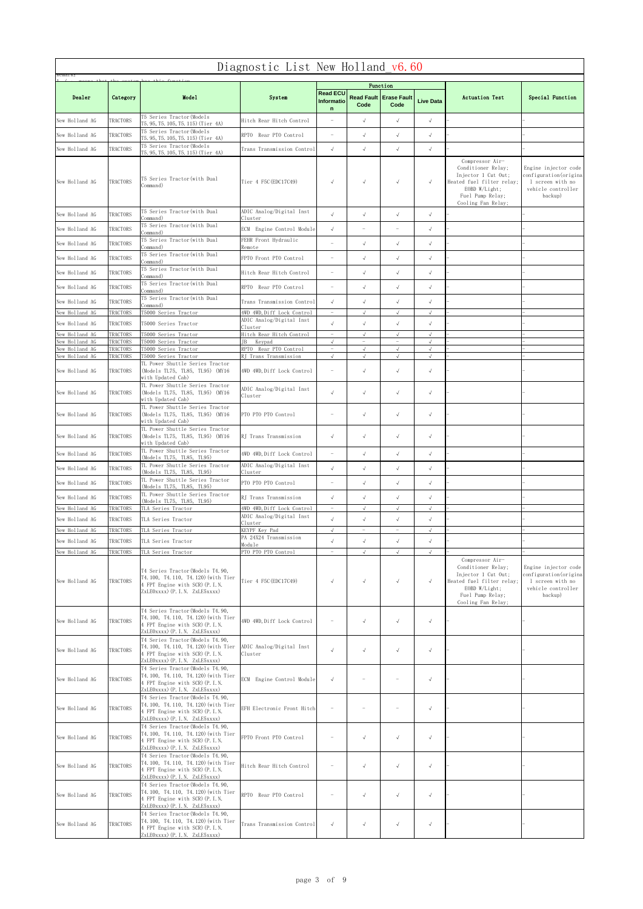| иешагк:                          | Diagnostic List New Holland_v6.60 |                                                                                                                                              |                                                          |                                                      |                                 |                                        |                          |                                                                                                                                                      |                                                                                                      |  |  |
|----------------------------------|-----------------------------------|----------------------------------------------------------------------------------------------------------------------------------------------|----------------------------------------------------------|------------------------------------------------------|---------------------------------|----------------------------------------|--------------------------|------------------------------------------------------------------------------------------------------------------------------------------------------|------------------------------------------------------------------------------------------------------|--|--|
|                                  |                                   |                                                                                                                                              |                                                          |                                                      |                                 | Function                               |                          |                                                                                                                                                      |                                                                                                      |  |  |
| Dealer                           | Category                          | Mode1                                                                                                                                        | System                                                   | <b>Read ECU</b><br><b>Informatio</b><br>$\mathsf{n}$ | Read Fault<br>Code              | <b>Erase Fault</b><br>Code             | Live Data                | <b>Actuation Test</b>                                                                                                                                | Special Function                                                                                     |  |  |
| New Holland AG                   | TRACTORS                          | T5 Series Tractor(Models<br>T5.95, T5.105, T5.115) (Tier 4A)                                                                                 | Hitch Rear Hitch Control                                 | $\overline{\phantom{m}}$                             | $\sqrt{ }$                      | $\checkmark$                           | $\sqrt{ }$               |                                                                                                                                                      |                                                                                                      |  |  |
| New Holland AG                   | TRACTORS                          | T5 Series Tractor (Models<br>T5.95, T5.105, T5.115) (Tier 4A)                                                                                | RPTO Rear PTO Control                                    | $\overline{\phantom{a}}$                             | $\sqrt{ }$                      | $\sqrt{ }$                             | $\sqrt{}$                |                                                                                                                                                      |                                                                                                      |  |  |
| New Holland AG                   | TRACTORS                          | T5 Series Tractor (Models<br>T5.95, T5.105, T5.115) (Tier 4A)                                                                                | Trans Transmission Control                               | $\sqrt{ }$                                           | $\sqrt{ }$                      | $\sqrt{ }$                             | $\sqrt{ }$               |                                                                                                                                                      |                                                                                                      |  |  |
| New Holland AG                   | TRACTORS                          | T5 Series Tractor(with Dual<br>Command)                                                                                                      | Tier 4 F5C(EDC17C49)                                     | $\sqrt{ }$                                           | $\sqrt{ }$                      | $\sqrt{ }$                             | $\sqrt{ }$               | Compressor Air-<br>Conditioner Relay;<br>Injector 1 Cut Out;<br>Heated fuel filter relay;<br>EOBD W/Light;<br>Fuel Pump Relay;<br>Cooling Fan Relay; | Engine injector code<br>configuration (origina)<br>1 screen with no<br>vehicle controller<br>backup) |  |  |
| New Holland AG                   | TRACTORS                          | T5 Series Tractor(with Dual<br>Command)                                                                                                      | ADIC Analog/Digital Inst<br>Cluster                      | $\sqrt{ }$                                           | $\sqrt{ }$                      | $\sqrt{ }$                             | $\sqrt{ }$               |                                                                                                                                                      |                                                                                                      |  |  |
| New Holland AG                   | TRACTORS                          | T5 Series Tractor (with Dual<br>Command)                                                                                                     | ECM Engine Control Module                                | $\sqrt{ }$                                           | $\overline{\phantom{a}}$        |                                        | $\sqrt{ }$               |                                                                                                                                                      |                                                                                                      |  |  |
| New Holland AG                   | TRACTORS                          | T5 Series Tractor (with Dual<br>Command)                                                                                                     | FEHR Front Hydraulic<br>Remote                           | $\overline{\phantom{a}}$                             | $\sqrt{ }$                      | $\sqrt{ }$                             | $\sqrt{}$                |                                                                                                                                                      |                                                                                                      |  |  |
| New Holland AG                   | TRACTORS                          | T5 Series Tractor(with Dual                                                                                                                  | FPTO Front PTO Control                                   | $\overline{\phantom{m}}$                             | $\sqrt{ }$                      | $\sqrt{ }$                             | $\sqrt{ }$               |                                                                                                                                                      |                                                                                                      |  |  |
| New Holland AG                   | TRACTORS                          | Command)<br>T5 Series Tractor (with Dual                                                                                                     | Hitch Rear Hitch Control                                 | $\overline{\phantom{a}}$                             | $\sqrt{ }$                      | $\sqrt{ }$                             | $\sqrt{}$                |                                                                                                                                                      |                                                                                                      |  |  |
| New Holland AG                   | TRACTORS                          | Command)<br>T5 Series Tractor (with Dual                                                                                                     | RPTO Rear PTO Control                                    | $\overline{\phantom{m}}$                             | $\sqrt{ }$                      | $\sqrt{ }$                             | $\sqrt{ }$               |                                                                                                                                                      |                                                                                                      |  |  |
|                                  |                                   | Command)<br>T5 Series Tractor (with Dual                                                                                                     |                                                          |                                                      |                                 |                                        |                          |                                                                                                                                                      |                                                                                                      |  |  |
| New Holland AG<br>New Holland AG | TRACTORS<br>TRACTORS              | Command)<br>T5000 Series Tractor                                                                                                             | Trans Transmission Control<br>4WD 4WD, Diff Lock Control | $\sqrt{ }$<br>$\overline{\phantom{a}}$               | $\sqrt{ }$<br>$\sqrt{ }$        | $\sqrt{ }$<br>$\sqrt{ }$               | $\sqrt{ }$<br>$\sqrt{ }$ |                                                                                                                                                      |                                                                                                      |  |  |
| New Holland AG                   | TRACTORS                          | T5000 Series Tractor                                                                                                                         | ADIC Analog/Digital Inst<br>Cluster                      | $\sqrt{ }$                                           | $\sqrt{ }$                      | $\sqrt{ }$                             | $\sqrt{}$                |                                                                                                                                                      |                                                                                                      |  |  |
| New Holland AG                   | TRACTORS                          | T5000 Series Tractor                                                                                                                         | Hitch Rear Hitch Control                                 | $\sim$                                               | $\sqrt{ }$                      | $\sqrt{ }$                             | $\sqrt{ }$               |                                                                                                                                                      |                                                                                                      |  |  |
| New Holland AG<br>New Holland AG | TRACTORS<br>TRACTORS              | T5000 Series Tractor<br>T5000 Series Tractor                                                                                                 | TB<br>Keypad<br><b>RPTO</b><br>Rear PTO Control          | $\sqrt{ }$<br>$\overline{\phantom{m}}$               | $\qquad \qquad -$<br>$\sqrt{ }$ | $\overline{\phantom{m}}$<br>$\sqrt{ }$ | $\sqrt{ }$<br>$\sqrt{ }$ |                                                                                                                                                      |                                                                                                      |  |  |
| New Holland AG                   | TRACTORS                          | T5000 Series Tractor<br>TL Power Shuttle Series Tractor                                                                                      | RJ Trans Transmission                                    | $\sqrt{ }$                                           | $\sqrt{ }$                      | $\sqrt{ }$                             | $\sqrt{2}$               |                                                                                                                                                      |                                                                                                      |  |  |
| New Holland AG                   | TRACTORS                          | (Models TL75, TL85, TL95) (MY16<br>with Updated Cab)                                                                                         | 4WD 4WD, Diff Lock Control                               |                                                      | $\sqrt{ }$                      | $\sqrt{ }$                             | $\sqrt{}$                |                                                                                                                                                      |                                                                                                      |  |  |
| New Holland AG                   | TRACTORS                          | TL Power Shuttle Series Tractor<br>(Models TL75, TL85, TL95) (MY16<br>with Updated Cab)                                                      | ADIC Analog/Digital Inst<br>Cluster                      | $\sqrt{ }$                                           | $\sqrt{ }$                      | $\sqrt{ }$                             | $\sqrt{}$                |                                                                                                                                                      |                                                                                                      |  |  |
| New Holland AG                   | TRACTORS                          | TL Power Shuttle Series Tractor<br>(Models TL75, TL85, TL95) (MY16<br>with Updated Cab)                                                      | PTO PTO PTO Control                                      |                                                      | $\sqrt{ }$                      | $\sqrt{ }$                             | $\sqrt{ }$               |                                                                                                                                                      |                                                                                                      |  |  |
| New Holland AG                   | TRACTORS                          | TL Power Shuttle Series Tractor<br>(Models TL75, TL85, TL95) (MY16<br>with Updated Cab)                                                      | RJ Trans Transmission                                    | $\sqrt{ }$                                           | $\sqrt{ }$                      | $\sqrt{ }$                             | $\sqrt{ }$               |                                                                                                                                                      |                                                                                                      |  |  |
| New Holland AG                   | TRACTORS                          | TL Power Shuttle Series Tractor<br>(Models TL75, TL85, TL95)                                                                                 | 4WD 4WD, Diff Lock Control                               | $\overline{\phantom{a}}$                             | $\sqrt{ }$                      | $\sqrt{ }$                             | $\sqrt{ }$               |                                                                                                                                                      |                                                                                                      |  |  |
| New Holland AG                   | TRACTORS                          | TL Power Shuttle Series Tractor<br>(Models TL75, TL85, TL95)                                                                                 | ADIC Analog/Digital Inst<br>Cluster                      | $\sqrt{ }$                                           | $\sqrt{ }$                      | $\sqrt{ }$                             | $\sqrt{ }$               |                                                                                                                                                      |                                                                                                      |  |  |
| New Holland AG                   | TRACTORS                          | TL Power Shuttle Series Tractor<br>(Models TL75, TL85, TL95)                                                                                 | PTO PTO PTO Control                                      | $\overline{\phantom{a}}$                             | $\sqrt{ }$                      | $\sqrt{ }$                             | $\sqrt{ }$               |                                                                                                                                                      |                                                                                                      |  |  |
| New Holland AG                   | TRACTORS                          | TL Power Shuttle Series Tractor                                                                                                              | RJ Trans Transmission                                    | $\sqrt{ }$                                           | $\sqrt{ }$                      | $\sqrt{ }$                             | $\sqrt{}$                |                                                                                                                                                      |                                                                                                      |  |  |
| New Holland AG                   | TRACTORS                          | (Models TL75, TL85, TL95)<br>TLA Series Tractor                                                                                              | 4WD 4WD, Diff Lock Control                               | $\equiv$                                             | $\sqrt{ }$                      | $\sqrt{ }$                             | $\sqrt{ }$               |                                                                                                                                                      |                                                                                                      |  |  |
| New Holland AG                   | TRACTORS                          | TLA Series Tractor                                                                                                                           | ADIC Analog/Digital Inst<br>Cluster                      | $\sqrt{ }$                                           | $\sqrt{ }$                      | $\sqrt{ }$                             | $\sqrt{ }$               |                                                                                                                                                      |                                                                                                      |  |  |
| New Holland AG                   | TRACTORS                          | TLA Series Tractor                                                                                                                           | KEYPF Key Pad<br>PA 24X24 Transmission                   | $\sqrt{ }$                                           |                                 |                                        | $\sqrt{2}$               |                                                                                                                                                      |                                                                                                      |  |  |
| New Holland AG                   | TRACTORS                          | TLA Series Tractor                                                                                                                           | Module                                                   | $\sqrt{ }$                                           | $\sqrt{ }$                      | $\sqrt{ }$                             | $\sqrt{}$                |                                                                                                                                                      |                                                                                                      |  |  |
| New Holland AG                   | TRACTORS                          | TLA Series Tractor                                                                                                                           | PTO PTO PTO Control                                      | $\overline{\phantom{m}}$                             | $\sqrt{ }$                      | $\sqrt{ }$                             | $\sqrt{ }$               | Compressor Air-                                                                                                                                      |                                                                                                      |  |  |
| New Holland AG                   | TRACTORS                          | T4 Series Tractor (Models T4.90,<br>T4.100, T4.110, T4.120) (with Tier<br>4 FPT Engine with SCR) (P. I.N.<br>ZxLEOxxxx) (P. I. N. ZxLE5xxxx) | Tier 4 F5C (EDC17C49)                                    | $\sqrt{ }$                                           | $\sqrt{ }$                      | $\sqrt{ }$                             | $\sqrt{ }$               | Conditioner Relay;<br>Injector 1 Cut Out;<br>Heated fuel filter relay;<br>EOBD W/Light;<br>Fuel Pump Relay;<br>Cooling Fan Relay;                    | Engine injector code<br>configuration (origina)<br>1 screen with no<br>vehicle controller<br>backup) |  |  |
| New Holland AG                   | TRACTORS                          | T4 Series Tractor (Models T4.90,<br>T4.100, T4.110, T4.120) (with Tier<br>4 FPT Engine with SCR) (P. I.N.<br>ZxLEOxxxx) (P. I.N. ZxLE5xxxx)  | 4WD 4WD, Diff Lock Control                               | $\hspace{0.1mm}-\hspace{0.1mm}$                      | $\sqrt{ }$                      | $\sqrt{ }$                             | $\sqrt{}$                |                                                                                                                                                      |                                                                                                      |  |  |
| New Holland AG                   | TRACTORS                          | T4 Series Tractor (Models T4.90,<br>T4.100, T4.110, T4.120) (with Tier<br>4 FPT Engine with SCR) (P.I.N.<br>ZxLE0xxxx) (P. I. N. ZxLE5xxxx)  | ADIC Analog/Digital Inst<br>Cluster                      | $\sqrt{ }$                                           | $\sqrt{ }$                      | $\sqrt{ }$                             | $\sqrt{ }$               |                                                                                                                                                      |                                                                                                      |  |  |
| New Holland AG                   | TRACTORS                          | T4 Series Tractor (Models T4.90,<br>T4.100, T4.110, T4.120) (with Tier<br>4 FPT Engine with SCR) (P. I.N.<br>ZxLEOxxxx) (P. I. N. ZxLE5xxxx) | ECM Engine Control Module                                | $\sqrt{ }$                                           |                                 |                                        | $\sqrt{}$                |                                                                                                                                                      |                                                                                                      |  |  |
| New Holland AG                   | TRACTORS                          | T4 Series Tractor (Models T4.90,<br>T4.100, T4.110, T4.120) (with Tier<br>4 FPT Engine with SCR) (P. I.N.<br>ZxLEOxxxx) (P. I. N. ZxLE5xxxx) | EFH Electronic Front Hitch                               | $\overline{\phantom{a}}$                             |                                 |                                        | $\sqrt{ }$               |                                                                                                                                                      |                                                                                                      |  |  |
| New Holland AG                   | <b>TRACTORS</b>                   | T4 Series Tractor (Models T4.90,<br>T4.100, T4.110, T4.120) (with Tier<br>4 FPT Engine with SCR) (P. I.N.<br>ZxLEOxxxx) (P. I. N. ZxLE5xxxx) | FPTO Front PTO Control                                   | $\overline{\phantom{a}}$                             | $\sqrt{ }$                      | $\sqrt{ }$                             | $\sqrt{ }$               |                                                                                                                                                      |                                                                                                      |  |  |
| New Holland AG                   | TRACTORS                          | T4 Series Tractor (Models T4.90,<br>T4.100, T4.110, T4.120) (with Tier<br>4 FPT Engine with SCR) (P. I.N.<br>ZxLEOxxxx) (P. I. N. ZxLE5xxxx) | Hitch Rear Hitch Control                                 | $\overline{\phantom{0}}$                             | $\sqrt{ }$                      | $\sqrt{ }$                             | $\sqrt{ }$               |                                                                                                                                                      |                                                                                                      |  |  |
| New Holland AG                   | <b>TRACTORS</b>                   | T4 Series Tractor (Models T4.90,<br>T4.100, T4.110, T4.120) (with Tier<br>4 FPT Engine with SCR) (P. I.N.<br>ZxLEOxxxx) (P. I. N. ZxLE5xxxx) | RPTO Rear PTO Control                                    | $\overline{\phantom{a}}$                             | $\sqrt{ }$                      | $\sqrt{ }$                             | $\sqrt{ }$               |                                                                                                                                                      |                                                                                                      |  |  |
| New Holland AG                   | TRACTORS                          | T4 Series Tractor (Models T4.90,<br>T4.100, T4.110, T4.120) (with Tier<br>4 FPT Engine with SCR) (P. I.N.<br>ZxLEOxxxx) (P. I. N. ZxLE5xxxx) | Trans Transmission Control                               | $\sqrt{ }$                                           | $\sqrt{ }$                      | $\sqrt{ }$                             | $\sqrt{}$                |                                                                                                                                                      |                                                                                                      |  |  |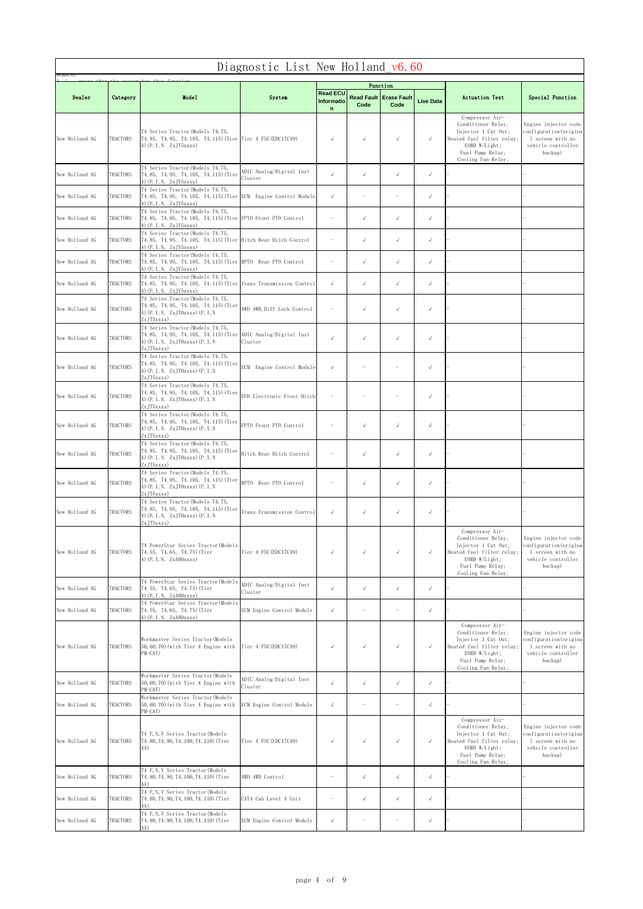| Diagnostic List New Holland v6.60<br>иешагк: |                 |                                                                                                                                                     |                                     |                                                     |                          |                                         |                  |                                                                                                                                                        |                                                                                                     |  |  |
|----------------------------------------------|-----------------|-----------------------------------------------------------------------------------------------------------------------------------------------------|-------------------------------------|-----------------------------------------------------|--------------------------|-----------------------------------------|------------------|--------------------------------------------------------------------------------------------------------------------------------------------------------|-----------------------------------------------------------------------------------------------------|--|--|
|                                              |                 |                                                                                                                                                     |                                     |                                                     |                          | Function                                |                  |                                                                                                                                                        |                                                                                                     |  |  |
| Dealer                                       | Category        | Mode1                                                                                                                                               | System                              | <b>Read ECU</b><br><b>Informatio</b><br>$\mathbf n$ | Code                     | <b>Read Fault   Erase Fault</b><br>Code | <b>Live Data</b> | <b>Actuation Test</b>                                                                                                                                  | Special Function                                                                                    |  |  |
| New Holland AG                               | TRACTORS        | T4 Series Tractor (Models T4.75,<br>T4.85, T4.95, T4.105, T4.115) (Tier Tier 4 F5C (EDC17C49)<br>4) (P. I. N. ZxJY5xxxx)                            |                                     | $\sqrt{ }$                                          | $\sqrt{ }$               | $\sqrt{ }$                              | $\sqrt{ }$       | Compressor Air-<br>Conditioner Relay;<br>Injector 1 Cut Out;<br>Heated fuel filter relay;<br>EOBD W/Light;<br>Fuel Pump Relay;<br>Cooling Fan Relay;   | Engine injector code<br>configuration (origina<br>1 screen with no<br>vehicle controller<br>backup) |  |  |
| New Holland AG                               | TRACTORS        | T4 Series Tractor (Models T4.75,<br>T4.85, T4.95, T4.105, T4.115) (Tier<br>4) (P. I. N. ZxJY5xxxx)                                                  | ADIC Analog/Digital Inst<br>Cluster | $\sqrt{ }$                                          | $\sqrt{ }$               | $\sqrt{ }$                              | $\sqrt{ }$       |                                                                                                                                                        |                                                                                                     |  |  |
| New Holland AG                               | TRACTORS        | T4 Series Tractor (Models T4.75,<br>T4.85, T4.95, T4.105, T4.115) (Tier ECM Engine Control Module<br>4) (P. I. N. ZxJY5xxxx)                        |                                     | $\sqrt{ }$                                          |                          |                                         | $\sqrt{ }$       |                                                                                                                                                        |                                                                                                     |  |  |
| New Holland AG                               | TRACTORS        | T4 Series Tractor (Models T4.75,<br>T4.85, T4.95, T4.105, T4.115) (Tier FPTO Front PTO Control<br>4) (P. I. N. ZxJY5xxxx)                           |                                     |                                                     | $\sqrt{ }$               | $\sqrt{ }$                              | $\sqrt{ }$       |                                                                                                                                                        |                                                                                                     |  |  |
| New Holland AG                               | TRACTORS        | T4 Series Tractor (Models T4.75,<br>T4.85, T4.95, T4.105, T4.115) (Tier Hitch Rear Hitch Control<br>4) (P. I. N. ZxJY5xxxx)                         |                                     | $\overline{\phantom{m}}$                            | $\sqrt{ }$               | $\sqrt{ }$                              | $\sqrt{}$        |                                                                                                                                                        |                                                                                                     |  |  |
| New Holland AG                               | TRACTORS        | T4 Series Tractor (Models T4.75,<br>T4.85, T4.95, T4.105, T4.115) (Tier RPTO Rear PTO Control<br>4) (P. I. N. ZxJY5xxxx)                            |                                     |                                                     | $\sqrt{ }$               | $\sqrt{ }$                              | $\sqrt{ }$       |                                                                                                                                                        |                                                                                                     |  |  |
| New Holland AG                               | TRACTORS        | T4 Series Tractor (Models T4.75,<br>T4.85, T4.95, T4.105, T4.115) (Tier Trans Transmission Control<br>4) (P. I. N. ZxJY5xxxx)                       |                                     | $\sqrt{ }$                                          | $\sqrt{ }$               | $\sqrt{ }$                              | $\sqrt{ }$       |                                                                                                                                                        |                                                                                                     |  |  |
| New Holland AG                               | TRACTORS        | T4 Series Tractor (Models T4.75,<br>T4.85, T4.95, T4.105, T4.115) (Tier<br>4) (P. I. N. ZxJT0xxxx) (P. I. N<br>ZxJT5xxxx)                           | 4WD 4WD, Diff Lock Control          |                                                     | $\sqrt{ }$               | $\sqrt{ }$                              | $\sqrt{ }$       |                                                                                                                                                        |                                                                                                     |  |  |
| New Holland AG                               | TRACTORS        | T4 Series Tractor (Models T4.75,<br>T4.85, T4.95, T4.105, T4.115) (Tier ADIC Analog/Digital Inst<br>4) (P. I. N. ZxJT0xxxx) (P. I. N<br>ZxJT5xxxx)  | Cluster                             | $\sqrt{ }$                                          | $\sqrt{ }$               | $\sqrt{ }$                              | $\sqrt{ }$       |                                                                                                                                                        |                                                                                                     |  |  |
| New Holland AG                               | TRACTORS        | T4 Series Tractor (Models T4.75,<br>T4.85, T4.95, T4.105, T4.115) (Tier ECM Engine Control Module<br>4) (P. I. N. ZxJT0xxxx) (P. I. N<br>ZxJT5xxxx) |                                     |                                                     |                          |                                         |                  |                                                                                                                                                        |                                                                                                     |  |  |
| New Holland AG                               | <b>TRACTORS</b> | T4 Series Tractor (Models T4.75,<br>T4.85, T4.95, T4.105, T4.115) (Tier<br>4) (P. I. N. ZxJT0xxxx) (P. I. N<br>ZxJT5xxxx)                           | EFH Electronic Front Hitch          |                                                     |                          |                                         | $\sqrt{ }$       |                                                                                                                                                        |                                                                                                     |  |  |
| New Holland AG                               | TRACTORS        | T4 Series Tractor (Models T4.75,<br>T4.85, T4.95, T4.105, T4.115) (Tier<br>4) (P. I. N. ZxJT0xxxx) (P. I. N<br>ZxJT5xxxx)                           | FPTO Front PTO Control              |                                                     | $\sqrt{ }$               | $\sqrt{ }$                              | $\sqrt{ }$       |                                                                                                                                                        |                                                                                                     |  |  |
| New Holland AG                               | <b>TRACTORS</b> | T4 Series Tractor (Models T4.75,<br>T4.85, T4.95, T4.105, T4.115) (Tier<br>4) (P. I. N. ZxJT0xxxx) (P. I. N<br>ZxJT5xxxx)                           | Hitch Rear Hitch Control            |                                                     | $\sqrt{ }$               | $\sqrt{ }$                              | $\sqrt{ }$       |                                                                                                                                                        |                                                                                                     |  |  |
| New Holland AG                               | TRACTORS        | T4 Series Tractor (Models T4.75,<br>T4.85, T4.95, T4.105, T4.115) (Tier<br>4) (P. I. N. ZxJT0xxxx) (P. I. N<br>ZxJT5xxxx)                           | RPTO Rear PTO Control               |                                                     | $\sqrt{ }$               | $\sqrt{ }$                              | $\sqrt{ }$       |                                                                                                                                                        |                                                                                                     |  |  |
| New Holland AG                               | TRACTORS        | T4 Series Tractor (Models T4.75,<br>T4.85, T4.95, T4.105, T4.115) (Tier<br>4) (P. I. N. ZxJT0xxxx) (P. I. N<br>ZxJT5xxxx)                           | Trans Transmission Control          | $\sqrt{ }$                                          | $\sqrt{ }$               | $\sqrt{ }$                              | $\sqrt{ }$       |                                                                                                                                                        |                                                                                                     |  |  |
| New Holland AG                               | TRACTORS        | T4 PowerStar Series Tractor (Models<br>T4.55, T4.65, T4.75) (Tier<br>4) (P. I. N. ZxAH0xxxx)                                                        | Tier 4 F5C (EDC17C49)               | $\sqrt{ }$                                          | $\sqrt{ }$               | $\sqrt{ }$                              | $\sqrt{ }$       | Compressor Air-<br>Conditioner Relay;<br>Injector 1 Cut Out;<br>Heated fuel filter relay;<br>EOBD $W/Light;$<br>Fuel Pump Relay;<br>Cooling Fan Relay; | Engine injector code<br>configuration (origina<br>1 screen with no<br>vehicle controller<br>backup) |  |  |
| New Holland AG                               | TRACTORS        | T4 PowerStar Series Tractor (Models<br>T4.55, T4.65, T4.75) (Tier<br>4) (P. I. N. ZxAHOXXXX)                                                        | ADIC Analog/Digital Inst<br>Cluster | $\sqrt{ }$                                          | $\sqrt{ }$               | $\sqrt{ }$                              | $\sqrt{}$        |                                                                                                                                                        |                                                                                                     |  |  |
| New Holland AG                               | TRACTORS        | T4 PowerStar Series Tractor(Models<br>T4.55, T4.65, T4.75) (Tier<br>4) (P. I. N. ZxAH0xxxx)                                                         | ECM Engine Control Module           | $\sqrt{ }$                                          | $\overline{\phantom{a}}$ | $\overline{\phantom{a}}$                | $\sqrt{ }$       |                                                                                                                                                        |                                                                                                     |  |  |
| New Holland AG                               | TRACTORS        | Workmaster Series Tractor (Models<br>50,60,70) (with Tier 4 Engine with<br>$PM-CAT$ )                                                               | Tier 4 F5C (EDC17C49)               | $\sqrt{ }$                                          | $\sqrt{ }$               | $\sqrt{ }$                              | $\sqrt{ }$       | Compressor Air-<br>Conditioner Relay;<br>Injector 1 Cut Out;<br>Heated fuel filter relay;<br>EOBD W/Light;<br>Fuel Pump Relay;<br>Cooling Fan Relay;   | Engine injector code<br>configuration (origina<br>1 screen with no<br>vehicle controller<br>backup) |  |  |
| New Holland AG                               | TRACTORS        | Workmaster Series Tractor (Models<br>50, 60, 70) (with Tier 4 Engine with<br>PM-CAT)                                                                | ADIC Analog/Digital Inst<br>Cluster | $\sqrt{ }$                                          | $\sqrt{ }$               | $\sqrt{ }$                              | $\sqrt{2}$       |                                                                                                                                                        |                                                                                                     |  |  |
| New Holland AG                               | TRACTORS        | Workmaster Series Tractor (Models<br>50, 60, 70) (with Tier 4 Engine with<br>PM-CAT)                                                                | ECM Engine Control Module           | $\sqrt{ }$                                          | $\overline{\phantom{a}}$ |                                         | $\sqrt{}$        |                                                                                                                                                        |                                                                                                     |  |  |
| New Holland AG                               | TRACTORS        | T4 F.N.V Series Tractor (Models<br>T4.80, T4.90, T4.100, T4.110) (Tier<br>4A)                                                                       | Tier 4 F5C (EDC17C49)               | $\sqrt{ }$                                          | $\sqrt{ }$               | $\sqrt{ }$                              | $\sqrt{ }$       | Compressor Air-<br>Conditioner Relay;<br>Injector 1 Cut Out;<br>Heated fuel filter relay;<br>EOBD W/Light;<br>Fuel Pump Relay;<br>Cooling Fan Relay;   | Engine injector code<br>configuration (origina<br>1 screen with no<br>vehicle controller<br>backup) |  |  |
| New Holland AG                               | TRACTORS        | T4 F, N, V Series Tractor (Models<br>T4.80, T4.90, T4.100, T4.110) (Tier<br>4A)                                                                     | 4WD 4WD Control                     |                                                     | $\sqrt{ }$               | $\sqrt{ }$                              | $\sqrt{}$        |                                                                                                                                                        |                                                                                                     |  |  |
| New Holland AG                               | <b>TRACTORS</b> | T4 F, N, V Series Tractor (Models<br>T4.80, T4.90, T4.100, T4.110) (Tier<br>4A)                                                                     | CAT4 Cab Level 4 Unit               |                                                     | $\sqrt{ }$               | $\sqrt{ }$                              | $\sqrt{ }$       |                                                                                                                                                        |                                                                                                     |  |  |
| New Holland AG                               | TRACTORS        | T4 F, N, V Series Tractor (Models<br>T4.80, T4.90, T4.100, T4.110) (Tier<br>4A)                                                                     | ECM Engine Control Module           | $\sqrt{ }$                                          | $\overline{\phantom{m}}$ | $\overline{\phantom{a}}$                | $\sqrt{ }$       |                                                                                                                                                        |                                                                                                     |  |  |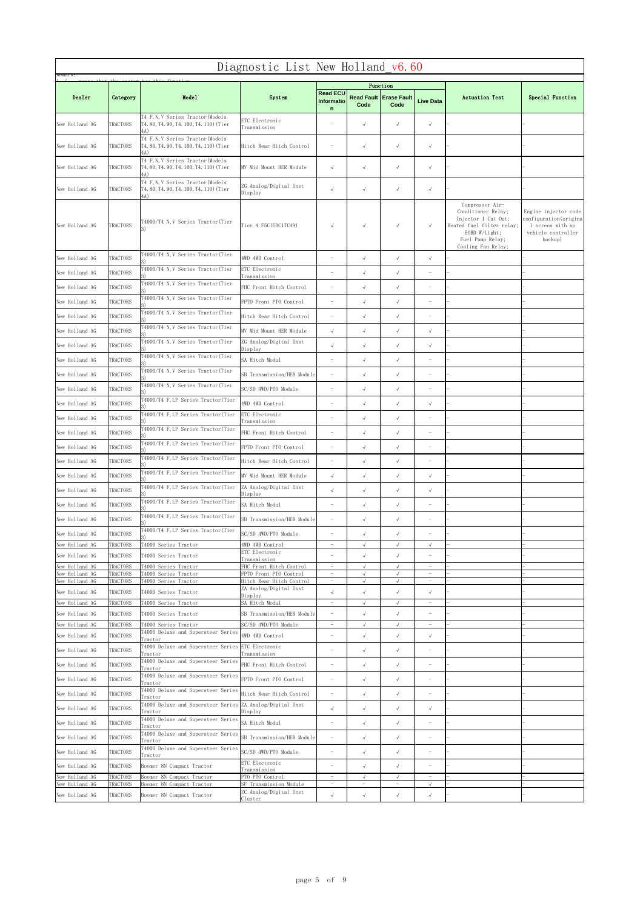| Diagnostic List New Holland v6.60<br>nemark: |                      |                                                                                 |                                                    |                                                      |                           |                                        |                                                      |                                                                                                                                                      |                                                                                                     |
|----------------------------------------------|----------------------|---------------------------------------------------------------------------------|----------------------------------------------------|------------------------------------------------------|---------------------------|----------------------------------------|------------------------------------------------------|------------------------------------------------------------------------------------------------------------------------------------------------------|-----------------------------------------------------------------------------------------------------|
| Dealer                                       | Category             | Mode1                                                                           | System                                             | <b>Read ECU</b><br>Informatio<br>$\mathsf{n}$        | <b>Read Fault</b><br>Code | Function<br><b>Erase Fault</b><br>Code | <b>Live Data</b>                                     | <b>Actuation Test</b>                                                                                                                                | Special Function                                                                                    |
| New Holland AG                               | TRACTORS             | T4 F, N, V Series Tractor (Models<br>T4.80, T4.90, T4.100, T4.110) (Tier<br>4A) | ETC Electronic<br>Transmission                     |                                                      | $\sqrt{ }$                | $\sqrt{ }$                             | $\sqrt{ }$                                           |                                                                                                                                                      |                                                                                                     |
| New Holland AG                               | TRACTORS             | T4 F, N, V Series Tractor (Models<br>T4.80, T4.90, T4.100, T4.110) (Tier<br>4A) | Hitch Rear Hitch Control                           |                                                      | $\sqrt{ }$                | $\sqrt{ }$                             | $\sqrt{}$                                            |                                                                                                                                                      |                                                                                                     |
| New Holland AG                               | TRACTORS             | T4 F, N, V Series Tractor (Models<br>T4.80, T4.90, T4.100, T4.110) (Tier<br>4A) | MV Mid Mount HER Module                            | $\sqrt{ }$                                           | $\sqrt{ }$                | $\sqrt{ }$                             | $\sqrt{ }$                                           |                                                                                                                                                      |                                                                                                     |
| New Holland AG                               | TRACTORS             | T4 F, N, V Series Tractor (Models<br>T4.80, T4.90, T4.100, T4.110) (Tier<br>4A) | ZG Analog/Digital Inst<br>Display                  | $\sqrt{ }$                                           | $\sqrt{ }$                | $\sqrt{ }$                             | $\sqrt{ }$                                           |                                                                                                                                                      |                                                                                                     |
| New Holland AG                               | TRACTORS             | T4000/T4 N, V Series Tractor (Tier                                              | Tier 4 F5C (EDC17C49)                              | $\sqrt{ }$                                           | $\sqrt{ }$                | $\sqrt{ }$                             | $\sqrt{ }$                                           | Compressor Air-<br>Conditioner Relay;<br>Injector 1 Cut Out;<br>Heated fuel filter relay;<br>EOBD W/Light;<br>Fuel Pump Relay;<br>Cooling Fan Relay; | Engine injector code<br>configuration (origina<br>1 screen with no<br>vehicle controller<br>backup) |
| New Holland AG                               | TRACTORS             | T4000/T4 N.V Series Tractor (Tier                                               | 4WD 4WD Control                                    |                                                      | $\sqrt{ }$                | $\sqrt{ }$                             | $\sqrt{ }$                                           |                                                                                                                                                      |                                                                                                     |
| New Holland AG                               | TRACTORS             | T4000/T4 N, V Series Tractor (Tier                                              | ETC Electronic<br>Transmission                     | ÷,                                                   | $\sqrt{ }$                | $\sqrt{ }$                             |                                                      |                                                                                                                                                      |                                                                                                     |
| New Holland AG                               | TRACTORS             | T4000/T4 N, V Series Tractor (Tier                                              | FHC Front Hitch Control                            |                                                      | $\sqrt{ }$                | $\sqrt{ }$                             | $\overline{\phantom{0}}$                             |                                                                                                                                                      |                                                                                                     |
| New Holland AG                               | TRACTORS             | T4000/T4 N, V Series Tractor (Tier                                              | FPTO Front PTO Control                             | $\overline{\phantom{a}}$                             | $\sqrt{ }$                | $\sqrt{ }$                             | $\qquad \qquad -$                                    |                                                                                                                                                      |                                                                                                     |
| New Holland AG                               | TRACTORS             | T4000/T4 N, V Series Tractor (Tier                                              | Hitch Rear Hitch Control                           | ÷,                                                   | $\sqrt{ }$                | $\sqrt{ }$                             |                                                      |                                                                                                                                                      |                                                                                                     |
| New Holland AG                               | TRACTORS             | T4000/T4 N, V Series Tractor (Tier                                              | MV Mid Mount HER Module                            | $\sqrt{ }$                                           | $\sqrt{ }$                | $\sqrt{ }$                             | $\sqrt{ }$                                           |                                                                                                                                                      |                                                                                                     |
|                                              |                      | T4000/T4 N, V Series Tractor (Tier                                              | ZG Analog/Digital Inst                             |                                                      |                           |                                        |                                                      |                                                                                                                                                      |                                                                                                     |
| New Holland AG                               | TRACTORS             | T4000/T4 N, V Series Tractor (Tier                                              | Display                                            | $\sqrt{ }$                                           | $\sqrt{ }$                | $\sqrt{ }$                             | $\sqrt{ }$                                           |                                                                                                                                                      |                                                                                                     |
| New Holland AG                               | TRACTORS             | T4000/T4 N, V Series Tractor (Tier                                              | SA Hitch Modul                                     |                                                      | $\sqrt{ }$                | $\sqrt{ }$                             |                                                      |                                                                                                                                                      |                                                                                                     |
| New Holland AG                               | TRACTORS             | T4000/T4 N.V Series Tractor (Tier                                               | SB Transmission/HER Module                         | $\overline{\phantom{a}}$                             | $\sqrt{ }$                | $\sqrt{ }$                             |                                                      |                                                                                                                                                      |                                                                                                     |
| New Holland AG                               | TRACTORS             |                                                                                 | SC/SD 4WD/PTO Module                               | $\overline{\phantom{a}}$                             | $\sqrt{ }$                | $\sqrt{ }$                             | $\qquad \qquad -$                                    |                                                                                                                                                      |                                                                                                     |
| New Holland AG                               | TRACTORS             | T4000/T4 F.LP Series Tractor (Tier                                              | 4WD 4WD Control                                    | $\overline{\phantom{m}}$                             | $\sqrt{ }$                | $\sqrt{ }$                             | $\sqrt{ }$                                           |                                                                                                                                                      |                                                                                                     |
| New Holland AG                               | TRACTORS             | T4000/T4 F.LP Series Tractor(Tier                                               | ETC Electronic<br>Transmission                     | $\overline{\phantom{a}}$                             | $\sqrt{ }$                | $\sqrt{ }$                             | $\overline{\phantom{0}}$                             |                                                                                                                                                      |                                                                                                     |
| New Holland AG                               | TRACTORS             | T4000/T4 F, LP Series Tractor (Tier                                             | FHC Front Hitch Control                            | $\overline{\phantom{a}}$                             | $\sqrt{ }$                | $\sqrt{ }$                             | $\qquad \qquad -$                                    |                                                                                                                                                      |                                                                                                     |
| New Holland AG                               | TRACTORS             | T4000/T4 F, LP Series Tractor (Tier                                             | FPTO Front PTO Control                             | $\overline{\phantom{a}}$                             | $\sqrt{ }$                | $\sqrt{ }$                             | $\overline{\phantom{0}}$                             |                                                                                                                                                      |                                                                                                     |
| New Holland AG                               | TRACTORS             | T4000/T4 F, LP Series Tractor (Tier                                             | Hitch Rear Hitch Control                           | $\overline{\phantom{a}}$                             | $\sqrt{ }$                | $\sqrt{ }$                             |                                                      |                                                                                                                                                      |                                                                                                     |
| New Holland AG                               | TRACTORS             | T4000/T4 F, LP Series Tractor (Tier                                             | MV Mid Mount HER Module                            | $\sqrt{ }$                                           | $\sqrt{ }$                | $\sqrt{ }$                             | $\sqrt{ }$                                           |                                                                                                                                                      |                                                                                                     |
| New Holland AG                               | TRACTORS             | T4000/T4 F, LP Series Tractor (Tier                                             | ZA Analog/Digital Inst<br>Display                  | $\sqrt{ }$                                           | $\sqrt{ }$                | $\sqrt{ }$                             | $\sqrt{ }$                                           |                                                                                                                                                      |                                                                                                     |
| New Holland AG                               | TRACTORS             | T4000/T4 F, LP Series Tractor (Tier                                             | SA Hitch Modul                                     | $\overline{\phantom{m}}$                             | $\sqrt{ }$                | $\sqrt{ }$                             | $\qquad \qquad -$                                    |                                                                                                                                                      |                                                                                                     |
| New Holland AG                               | TRACTORS             | T4000/T4 F, LP Series Tractor (Tier                                             | SB Transmission/HER Module                         | $\overline{\phantom{a}}$                             | $\sqrt{ }$                | $\sqrt{ }$                             |                                                      |                                                                                                                                                      |                                                                                                     |
| New Holland AG                               | TRACTORS             | T4000/T4 F, LP Series Tractor (Tier                                             | SC/SD 4WD/PTO Module                               | $\overline{\phantom{a}}$                             | $\sqrt{ }$                | $\sqrt{ }$                             |                                                      |                                                                                                                                                      |                                                                                                     |
| New Holland AG                               | TRACTORS             | T4000 Series Tractor                                                            | 4WD 4WD Control                                    | $\overline{\phantom{a}}$                             | $\sqrt{ }$                | $\sqrt{ }$                             | $\sqrt{ }$                                           |                                                                                                                                                      |                                                                                                     |
| New Holland AG                               | TRACTORS             | T4000 Series Tractor                                                            | ETC Electronic<br>Transmission                     | $\overline{\phantom{m}}$                             | $\sqrt{ }$                | $\sqrt{ }$                             |                                                      |                                                                                                                                                      |                                                                                                     |
| New Holland AG<br>New Holland AG             | TRACTORS<br>TRACTORS | T4000 Series Tractor<br>T4000 Series Tractor                                    | FHC Front Hitch Control<br>FPTO Front PTO Control  | $\overline{\phantom{a}}$<br>$\overline{\phantom{a}}$ | $\sqrt{ }$<br>$\sqrt{ }$  | $\sqrt{ }$<br>$\sqrt{ }$               | $\overline{\phantom{a}}$<br>$\overline{\phantom{0}}$ |                                                                                                                                                      |                                                                                                     |
| New Holland AG                               | TRACTORS             | T4000 Series Tractor                                                            | Hitch Rear Hitch Control                           | $\overline{\phantom{a}}$                             | $\sqrt{ }$                | $\sqrt{ }$                             | $\overline{\phantom{0}}$                             |                                                                                                                                                      |                                                                                                     |
| New Holland AG                               | TRACTORS             | T4000 Series Tractor                                                            | ZA Analog/Digital Inst<br>Display                  | $\sqrt{ }$                                           | $\sqrt{ }$                | $\sqrt{ }$                             | $\sqrt{ }$                                           |                                                                                                                                                      |                                                                                                     |
| New Holland AG                               | TRACTORS             | T4000 Series Tractor                                                            | SA Hitch Modul                                     | $\overline{\phantom{m}}$                             | $\sqrt{ }$                | $\sqrt{ }$                             | $\overline{\phantom{a}}$                             |                                                                                                                                                      |                                                                                                     |
| New Holland AG<br>New Holland AG             | TRACTORS<br>TRACTORS | T4000 Series Tractor<br>T4000 Series Tractor                                    | SB Transmission/HER Module<br>SC/SD 4WD/PTO Module | $\overline{\phantom{a}}$<br>$\sim$                   | $\sqrt{ }$<br>$\sqrt{ }$  | $\sqrt{ }$<br>$\sqrt{ }$               | $\qquad \qquad -$<br>$\overline{\phantom{a}}$        |                                                                                                                                                      |                                                                                                     |
| New Holland AG                               | TRACTORS             | T4000 Deluxe and Supersteer Series                                              | 4WD 4WD Control                                    | $\overline{\phantom{a}}$                             | $\sqrt{ }$                | $\sqrt{ }$                             | $\sqrt{ }$                                           |                                                                                                                                                      |                                                                                                     |
| New Holland AG                               | TRACTORS             | Tractor<br>T4000 Deluxe and Supersteer Series ETC Electronic                    |                                                    | $\overline{\phantom{a}}$                             | $\sqrt{ }$                | $\sqrt{ }$                             | $\qquad \qquad -$                                    |                                                                                                                                                      |                                                                                                     |
| New Holland AG                               | TRACTORS             | Tractor<br>T4000 Deluxe and Supersteer Series                                   | Transmission<br>FHC Front Hitch Control            | $\overline{\phantom{a}}$                             | $\sqrt{ }$                | $\sqrt{ }$                             | $\overline{\phantom{m}}$                             |                                                                                                                                                      |                                                                                                     |
| New Holland AG                               | <b>TRACTORS</b>      | Tractor<br>T4000 Deluxe and Supersteer Series                                   | FPTO Front PTO Control                             | $\overline{\phantom{m}}$                             | $\sqrt{ }$                | $\sqrt{ }$                             | $\qquad \qquad -$                                    |                                                                                                                                                      |                                                                                                     |
|                                              |                      | Tractor<br>T4000 Deluxe and Supersteer Series                                   |                                                    |                                                      |                           |                                        | $\overline{\phantom{m}}$                             |                                                                                                                                                      |                                                                                                     |
| New Holland AG                               | TRACTORS             | Tractor<br>T4000 Deluxe and Supersteer Series ZA Analog/Digital Inst            | Hitch Rear Hitch Control                           | $\overline{\phantom{m}}$                             | $\sqrt{}$                 | $\sqrt{ }$                             |                                                      |                                                                                                                                                      |                                                                                                     |
| New Holland AG                               | TRACTORS             | Tractor<br>T4000 Deluxe and Supersteer Series                                   | Display                                            | $\sqrt{ }$                                           | $\sqrt{ }$                | $\sqrt{ }$                             | $\sqrt{ }$                                           |                                                                                                                                                      |                                                                                                     |
| New Holland AG                               | TRACTORS             | Tractor<br>T4000 Deluxe and Supersteer Series                                   | SA Hitch Modul                                     | $\overline{\phantom{a}}$                             | $\sqrt{ }$                | $\sqrt{ }$                             |                                                      |                                                                                                                                                      |                                                                                                     |
| New Holland AG                               | TRACTORS             | Tractor                                                                         | SB Transmission/HER Module                         | $\overline{\phantom{a}}$                             | $\sqrt{ }$                | $\sqrt{ }$                             | $\overline{\phantom{m}}$                             |                                                                                                                                                      |                                                                                                     |
| New Holland AG                               | TRACTORS             | T4000 Deluxe and Supersteer Series<br>Tractor                                   | SC/SD 4WD/PTO Module                               | $\overline{\phantom{a}}$                             | $\sqrt{ }$                | $\sqrt{ }$                             | $\overline{\phantom{m}}$                             |                                                                                                                                                      |                                                                                                     |
| New Holland AG                               | TRACTORS             | Boomer 8N Compact Tractor                                                       | ETC Electronic<br>Transmission                     | $\overline{\phantom{a}}$                             | $\sqrt{ }$                | $\sqrt{ }$                             | $\qquad \qquad -$                                    |                                                                                                                                                      |                                                                                                     |
| New Holland AG<br>New Holland AG             | TRACTORS<br>TRACTORS | Boomer 8N Compact Tractor<br>Boomer 8N Compact Tractor                          | PTO PTO Control<br>SF Transmission Module          | $\overline{\phantom{m}}$<br>$\overline{\phantom{m}}$ | $\sqrt{ }$                | $\sqrt{ }$                             | $\sqrt{ }$                                           |                                                                                                                                                      |                                                                                                     |
| New Holland AG                               | TRACTORS             | Boomer 8N Compact Tractor                                                       | ZC Analog/Digital Inst<br>Cluster                  | $\sqrt{ }$                                           | $\sqrt{ }$                | $\sqrt{ }$                             | $\sqrt{ }$                                           |                                                                                                                                                      |                                                                                                     |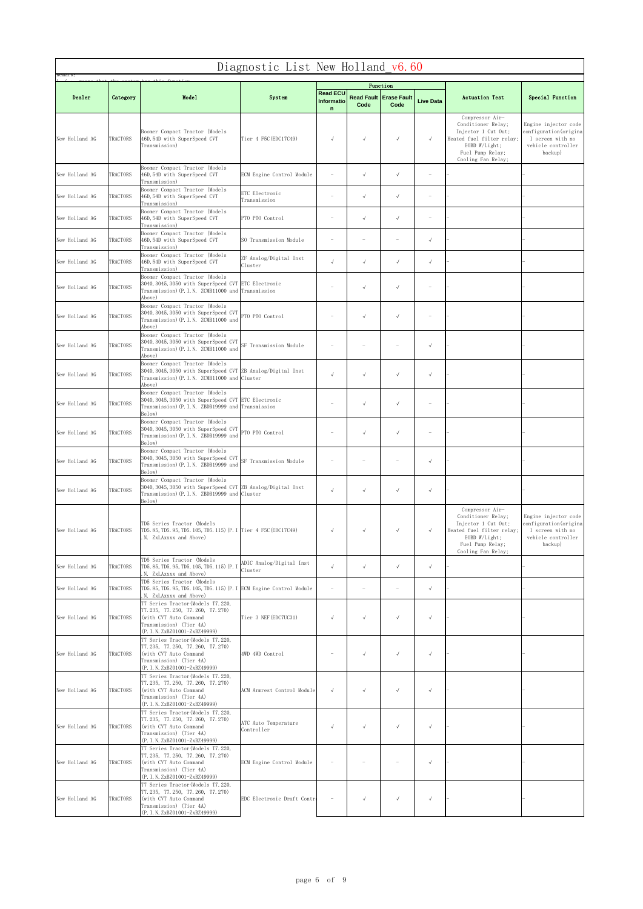|                | Diagnostic List New Holland v6.60<br>иешагк: |                                                                                                                                                             |                                     |                                              |            |                                         |                  |                                                                                                                                                        |                                                                                                      |  |  |
|----------------|----------------------------------------------|-------------------------------------------------------------------------------------------------------------------------------------------------------------|-------------------------------------|----------------------------------------------|------------|-----------------------------------------|------------------|--------------------------------------------------------------------------------------------------------------------------------------------------------|------------------------------------------------------------------------------------------------------|--|--|
|                |                                              |                                                                                                                                                             |                                     |                                              |            | Function                                |                  |                                                                                                                                                        |                                                                                                      |  |  |
| Dealer         | Category                                     | Mode1                                                                                                                                                       | System                              | <b>Read ECU</b><br>Informatio<br>$\mathbf n$ | Code       | <b>Read Fault   Erase Fault</b><br>Code | <b>Live Data</b> | <b>Actuation Test</b>                                                                                                                                  | Special Function                                                                                     |  |  |
| New Holland AG | TRACTORS                                     | Boomer Compact Tractor (Models<br>46D, 54D with SuperSpeed CVT<br>Transmission)                                                                             | Tier 4 F5C (EDC17C49)               | $\sqrt{ }$                                   | $\sqrt{ }$ | $\sqrt{}$                               | $\sqrt{ }$       | Compressor Air-<br>Conditioner Relay;<br>Injector 1 Cut Out;<br>Heated fuel filter relay;<br>EOBD W/Light;<br>Fuel Pump Relay;<br>Cooling Fan Relay;   | Engine injector code<br>configuration (origina<br>1 screen with no<br>vehicle controller<br>backup)  |  |  |
| New Holland AG | TRACTORS                                     | Boomer Compact Tractor (Models<br>46D, 54D with SuperSpeed CVT<br>Transmission)                                                                             | ECM Engine Control Module           |                                              | $\sqrt{ }$ | $\sqrt{ }$                              |                  |                                                                                                                                                        |                                                                                                      |  |  |
| New Holland AG | TRACTORS                                     | Boomer Compact Tractor (Models<br>46D, 54D with SuperSpeed CVT<br>Transmission)                                                                             | ETC Electronic<br>Transmission      |                                              | $\sqrt{ }$ | $\sqrt{}$                               |                  |                                                                                                                                                        |                                                                                                      |  |  |
| New Holland AG | TRACTORS                                     | Boomer Compact Tractor (Models<br>46D, 54D with SuperSpeed CVT<br>Transmission)                                                                             | PTO PTO Control                     | $\overline{\phantom{m}}$                     | $\sqrt{ }$ | $\sqrt{}$                               |                  |                                                                                                                                                        |                                                                                                      |  |  |
| New Holland AG | TRACTORS                                     | Boomer Compact Tractor (Models<br>46D, 54D with SuperSpeed CVT<br>Transmission)                                                                             | SO Transmission Module              |                                              |            |                                         | $\sqrt{ }$       |                                                                                                                                                        |                                                                                                      |  |  |
| New Holland AG | TRACTORS                                     | Boomer Compact Tractor (Models<br>46D, 54D with SuperSpeed CVT<br>Transmission)                                                                             | ZF Analog/Digital Inst<br>Cluster   | $\sqrt{ }$                                   | $\sqrt{ }$ | $\sqrt{}$                               | $\sqrt{ }$       |                                                                                                                                                        |                                                                                                      |  |  |
| New Holland AG | TRACTORS                                     | Boomer Compact Tractor (Models<br>3040, 3045, 3050 with SuperSpeed CVT ETC Electronic<br>Transmission) (P.I.N. ZCMB11000 and Transmission<br>Above)         |                                     |                                              | $\sqrt{ }$ | $\sqrt{}$                               |                  |                                                                                                                                                        |                                                                                                      |  |  |
| New Holland AG | TRACTORS                                     | Boomer Compact Tractor (Models<br>3040, 3045, 3050 with SuperSpeed CVT<br>Transmission) (P.I.N. ZCMB11000 and<br>Above)                                     | PTO PTO Control                     |                                              | $\sqrt{ }$ | $\sqrt{}$                               |                  |                                                                                                                                                        |                                                                                                      |  |  |
| New Holland AG | TRACTORS                                     | Boomer Compact Tractor (Models<br>3040, 3045, 3050 with SuperSpeed CVT<br>Transmission) (P.I.N. ZCMB11000 and<br>Above)                                     | SF Transmission Module              |                                              |            |                                         | $\sqrt{ }$       |                                                                                                                                                        |                                                                                                      |  |  |
| New Holland AG | TRACTORS                                     | Boomer Compact Tractor (Models<br>3040, 3045, 3050 with SuperSpeed CVT ZB Analog/Digital Inst<br>Transmission) (P.I.N. ZCMB11000 and Cluster<br>Above)      |                                     | $\sqrt{ }$                                   | $\sqrt{ }$ | $\sqrt{}$                               | $\sqrt{ }$       |                                                                                                                                                        |                                                                                                      |  |  |
| New Holland AG | TRACTORS                                     | Boomer Compact Tractor (Models<br>3040, 3045, 3050 with SuperSpeed CVT ETC Electronic<br>Transmission) (P.I.N. ZBDB19999 and Transmission<br>Below)         |                                     |                                              | $\sqrt{ }$ | $\sqrt{}$                               |                  |                                                                                                                                                        |                                                                                                      |  |  |
| New Holland AG | TRACTORS                                     | Boomer Compact Tractor (Models<br>3040, 3045, 3050 with SuperSpeed CVT<br>Transmission) (P.I.N. ZBDB19999 and<br>Below)                                     | PTO PTO Control                     |                                              | $\sqrt{ }$ | $\sqrt{ }$                              |                  |                                                                                                                                                        |                                                                                                      |  |  |
| New Holland AG | TRACTORS                                     | Boomer Compact Tractor (Models<br>3040,3045,3050 with SuperSpeed CVT<br>Transmission)(P.I.N. ZBDB19999 and<br>Below)                                        | SF Transmission Module              |                                              |            |                                         | $\sqrt{ }$       |                                                                                                                                                        |                                                                                                      |  |  |
| New Holland AG | TRACTORS                                     | Boomer Compact Tractor (Models<br>3040, 3045, 3050 with SuperSpeed CVT ZB Analog/Digital Inst<br>Transmission) (P.I.N. ZBDB19999 and Cluster<br>Below)      |                                     | $\sqrt{ }$                                   | $\sqrt{ }$ | $\sqrt{}$                               | $\sqrt{ }$       |                                                                                                                                                        |                                                                                                      |  |  |
| New Holland AG | TRACTORS                                     | TD5 Series Tractor (Models<br>TD5.85, TD5.95, TD5.105, TD5.115) (P. I Tier 4 F5C (EDC17C49)<br>N. ZxLAxxxx and Above)                                       |                                     | $\sqrt{ }$                                   | $\sqrt{ }$ | $\sqrt{ }$                              | $\sqrt{ }$       | Compressor Air-<br>Conditioner Relay;<br>Injector 1 Cut Out;<br>Heated fuel filter relay;<br>EOBD $W/Light;$<br>Fuel Pump Relay;<br>Cooling Fan Relay; | Engine injector code<br>configuration (origina)<br>1 screen with no<br>vehicle controller<br>backup) |  |  |
| New Holland AG | TRACTORS                                     | TD5 Series Tractor (Models<br>TD5.85, TD5.95, TD5.105, TD5.115) (P. 1<br>N. ZxLAxxxx and Above)                                                             | ADIC Analog/Digital Inst<br>Cluster | $\sqrt{ }$                                   | $\sqrt{ }$ | $\sqrt{}$                               | $\sqrt{ }$       |                                                                                                                                                        |                                                                                                      |  |  |
| New Holland AG | TRACTORS                                     | TD5 Series Tractor (Models<br>TD5.85, TD5.95, TD5.105, TD5.115) (P. I ECM Engine Control Module<br>N. ZxLAxxxx and Above)                                   |                                     | $\qquad \qquad -$                            |            |                                         | $\sqrt{}$        |                                                                                                                                                        |                                                                                                      |  |  |
| New Holland AG | TRACTORS                                     | T7 Series Tractor (Models T7.220,<br>T7.235, T7.250, T7.260, T7.270)<br>(with CVT Auto Command<br>Transmission) (Tier 4A)<br>(P. I. N. ZxBZ01001-ZxBZ49999) | Tier 3 NEF (EDC7UC31)               | $\sqrt{ }$                                   | $\sqrt{ }$ | $\sqrt{ }$                              | $\sqrt{ }$       |                                                                                                                                                        |                                                                                                      |  |  |
| New Holland AG | TRACTORS                                     | T7 Series Tractor (Models T7.220,<br>T7.235, T7.250, T7.260, T7.270)<br>(with CVT Auto Command<br>Transmission) (Tier 4A)<br>(P. I. N. ZxBZ01001-ZxBZ49999) | 4WD 4WD Control                     |                                              | $\sqrt{ }$ | $\sqrt{}$                               | $\sqrt{ }$       |                                                                                                                                                        |                                                                                                      |  |  |
| New Holland AG | TRACTORS                                     | T7 Series Tractor (Models T7.220,<br>T7.235, T7.250, T7.260, T7.270)<br>(with CVT Auto Command<br>Transmission) (Tier 4A)<br>(P. I. N. ZxBZ01001-ZxBZ49999) | ACM Armrest Control Module          | $\sqrt{ }$                                   | $\sqrt{ }$ | $\sqrt{ }$                              | $\sqrt{ }$       |                                                                                                                                                        |                                                                                                      |  |  |
| New Holland AG | TRACTORS                                     | T7 Series Tractor (Models T7.220,<br>T7.235, T7.250, T7.260, T7.270)<br>(with CVT Auto Command<br>Transmission) (Tier 4A)<br>(P. I. N. ZxBZ01001-ZxBZ49999) | ATC Auto Temperature<br>Controller  | $\sqrt{ }$                                   | $\sqrt{ }$ | $\sqrt{}$                               | $\sqrt{ }$       |                                                                                                                                                        |                                                                                                      |  |  |
| New Holland AG | TRACTORS                                     | T7 Series Tractor (Models T7.220,<br>T7.235, T7.250, T7.260, T7.270)<br>(with CVT Auto Command<br>Transmission) (Tier 4A)<br>(P. I. N. ZxBZ01001-ZxBZ49999) | ECM Engine Control Module           |                                              |            |                                         | $\sqrt{ }$       |                                                                                                                                                        |                                                                                                      |  |  |
| New Holland AG | TRACTORS                                     | T7 Series Tractor (Models T7.220,<br>T7.235, T7.250, T7.260, T7.270)<br>(with CVT Auto Command<br>Transmission) (Tier 4A)<br>(P. I. N. ZxBZ01001-ZxBZ49999) | EDC Electronic Draft Contro         |                                              | $\sqrt{ }$ | $\sqrt{}$                               | $\sqrt{ }$       |                                                                                                                                                        |                                                                                                      |  |  |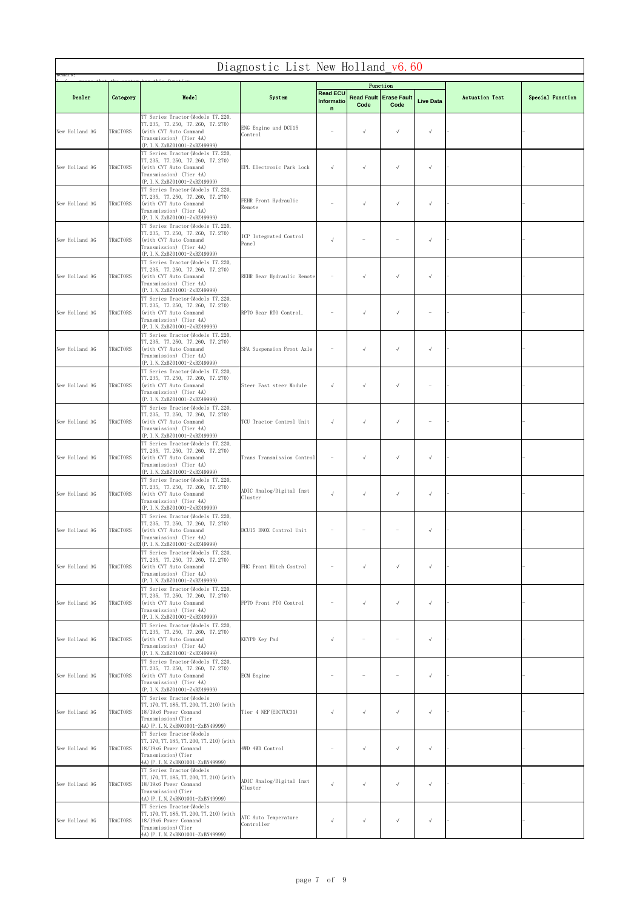| Diagnostic List New Holland v6.60<br>лешагк: |          |                                                                                                                                                               |                                     |                            |            |                                       |                  |                       |                  |  |
|----------------------------------------------|----------|---------------------------------------------------------------------------------------------------------------------------------------------------------------|-------------------------------------|----------------------------|------------|---------------------------------------|------------------|-----------------------|------------------|--|
|                                              |          |                                                                                                                                                               |                                     | <b>Read ECU</b>            |            | Function                              |                  |                       |                  |  |
| Dealer                                       | Category | Mode1                                                                                                                                                         | System                              | Informatio<br>$\mathsf{n}$ | Code       | <b>Read Fault Erase Fault</b><br>Code | <b>Live Data</b> | <b>Actuation Test</b> | Special Function |  |
| New Holland AG                               | TRACTORS | T7 Series Tractor (Models T7.220,<br>T7.235, T7.250, T7.260, T7.270)<br>(with CVT Auto Command<br>Transmission) (Tier 4A)<br>(P. I. N. ZxBZ01001-ZxBZ49999)   | ENG Engine and DCU15<br>Control     | $\equiv$                   | $\sqrt{}$  | $\sqrt{ }$                            | $\sqrt{ }$       |                       |                  |  |
| New Holland AG                               | TRACTORS | T7 Series Tractor (Models T7.220,<br>T7.235, T7.250, T7.260, T7.270)<br>(with CVT Auto Command<br>Transmission) (Tier 4A)<br>(P. I. N. ZxBZ01001-ZxBZ49999)   | EPL Electronic Park Lock            | $\sqrt{ }$                 | $\sqrt{}$  | $\sqrt{ }$                            | $\sqrt{ }$       |                       |                  |  |
| New Holland AG                               | TRACTORS | T7 Series Tractor (Models T7.220,<br>T7.235, T7.250, T7.260, T7.270)<br>(with CVT Auto Command<br>Transmission) (Tier 4A)<br>(P. I. N. ZxBZ01001-ZxBZ49999)   | FEHR Front Hydraulic<br>Remote      |                            | $\sqrt{ }$ | $\sqrt{ }$                            | $\sqrt{ }$       |                       |                  |  |
| New Holland AG                               | TRACTORS | T7 Series Tractor (Models T7.220,<br>T7.235, T7.250, T7.260, T7.270)<br>(with CVT Auto Command<br>Transmission) (Tier 4A)<br>(P. I. N. ZxBZ01001-ZxBZ49999)   | ICP Integrated Control<br>Panel     | $\sqrt{ }$                 |            |                                       | $\sqrt{ }$       |                       |                  |  |
| New Holland AG                               | TRACTORS | T7 Series Tractor (Models T7.220,<br>T7.235, T7.250, T7.260, T7.270)<br>(with CVT Auto Command<br>Transmission) (Tier 4A)<br>(P. I. N. ZxBZ01001-ZxBZ49999)   | REHR Rear Hydraulic Remote          |                            | $\sqrt{ }$ | $\sqrt{ }$                            | $\sqrt{ }$       |                       |                  |  |
| New Holland AG                               | TRACTORS | T7 Series Tractor (Models T7.220,<br>T7.235, T7.250, T7.260, T7.270)<br>(with CVT Auto Command<br>Transmission) (Tier 4A)<br>(P. I. N. ZxBZ01001-ZxBZ49999)   | RPTO Rear RTO Control.              |                            | $\sqrt{}$  | $\sqrt{ }$                            |                  |                       |                  |  |
| New Holland AG                               | TRACTORS | T7 Series Tractor (Models T7.220,<br>T7.235, T7.250, T7.260, T7.270)<br>(with CVT Auto Command<br>Transmission) (Tier 4A)<br>$(P, I, N, ZxBZ01001-ZxBZ49999)$ | SFA Suspension Front Axle           |                            | $\sqrt{ }$ | $\sqrt{ }$                            | $\sqrt{ }$       |                       |                  |  |
| New Holland AG                               | TRACTORS | T7 Series Tractor (Models T7.220,<br>T7.235, T7.250, T7.260, T7.270)<br>(with CVT Auto Command<br>Transmission) (Tier 4A)<br>(P. I. N. ZxBZ01001-ZxBZ49999)   | Steer Fast steer Module             | $\sqrt{ }$                 | $\sqrt{}$  | $\sqrt{ }$                            |                  |                       |                  |  |
| New Holland AG                               | TRACTORS | T7 Series Tractor (Models T7.220,<br>T7.235, T7.250, T7.260, T7.270)<br>(with CVT Auto Command<br>Transmission) (Tier 4A)<br>(P. I. N. ZxBZ01001-ZxBZ49999)   | TCU Tractor Control Unit            | $\sqrt{ }$                 | $\sqrt{ }$ | $\sqrt{ }$                            |                  |                       |                  |  |
| New Holland AG                               | TRACTORS | T7 Series Tractor (Models T7.220,<br>T7.235, T7.250, T7.260, T7.270)<br>(with CVT Auto Command<br>Transmission) (Tier 4A)<br>(P. I. N. ZxBZ01001-ZxBZ49999)   | Trans Transmission Control          |                            | $\sqrt{ }$ | $\sqrt{ }$                            | $\sqrt{ }$       |                       |                  |  |
| New Holland AG                               | TRACTORS | T7 Series Tractor (Models T7.220,<br>T7.235, T7.250, T7.260, T7.270)<br>(with CVT Auto Command<br>Transmission) (Tier 4A)<br>(P. I. N. ZxBZ01001-ZxBZ49999)   | ADIC Analog/Digital Inst<br>Cluster | $\sqrt{ }$                 | $\sqrt{ }$ | $\sqrt{ }$                            | $\sqrt{ }$       |                       |                  |  |
| New Holland AG                               | TRACTORS | T7 Series Tractor (Models T7.220,<br>T7.235, T7.250, T7.260, T7.270)<br>(with CVT Auto Command<br>Transmission) (Tier 4A)<br>(P. I. N. ZxBZ01001-ZxBZ49999)   | DCU15 DNOX Control Unit             |                            |            |                                       | $\sqrt{ }$       |                       |                  |  |
| New Holland AG                               | TRACTORS | T7 Series Tractor(Models T7.220,<br>T7.235, T7.250, T7.260, T7.270)<br>(with CVT Auto Command<br>Transmission) (Tier 4A)<br>(P. I. N. ZxBZ01001-ZxBZ49999)    | FHC Front Hitch Control             | $\overline{\phantom{m}}$   | $\sqrt{ }$ | $\sqrt{ }$                            | $\sqrt{ }$       |                       |                  |  |
| New Holland AG                               | TRACTORS | T7 Series Tractor (Models T7.220,<br>T7.235, T7.250, T7.260, T7.270)<br>(with CVT Auto Command<br>Transmission) (Tier 4A)<br>(P. I. N. ZxBZ01001-ZxBZ49999)   | FPTO Front PTO Control              |                            | $\sqrt{ }$ | $\sqrt{ }$                            | $\sqrt{ }$       |                       |                  |  |
| New Holland AG                               | TRACTORS | T7 Series Tractor(Models T7.220,<br>T7.235, T7.250, T7.260, T7.270)<br>(with CVT Auto Command<br>Transmission) (Tier 4A)<br>(P. I. N. ZxBZ01001-ZxBZ49999)    | KEYPD Key Pad                       | $\sqrt{ }$                 |            |                                       | $\sqrt{ }$       |                       |                  |  |
| New Holland AG                               | TRACTORS | T7 Series Tractor (Models T7.220,<br>T7.235, T7.250, T7.260, T7.270)<br>(with CVT Auto Command<br>Transmission) (Tier 4A)<br>(P. I. N. ZxBZ01001-ZxBZ49999)   | ECM Engine                          |                            |            |                                       | $\sqrt{ }$       |                       |                  |  |
| New Holland AG                               | TRACTORS | T7 Series Tractor (Models<br>T7.170, T7.185, T7.200, T7.210) (with<br>18/19x6 Power Command<br>Transmission) (Tier<br>4A) (P. I. N. ZxBN01001-ZxBN49999)      | Tier 4 NEF (EDC7UC31)               | $\sqrt{ }$                 | $\sqrt{ }$ | $\sqrt{ }$                            | $\sqrt{ }$       |                       |                  |  |
| New Holland AG                               | TRACTORS | T7 Series Tractor (Models<br>T7.170, T7.185, T7.200, T7.210) (with<br>18/19x6 Power Command<br>Transmission) (Tier<br>4A) (P. I. N. ZxBN01001-ZxBN49999)      | 4WD 4WD Control                     |                            | $\sqrt{ }$ | $\sqrt{ }$                            | $\sqrt{ }$       |                       |                  |  |
| New Holland AG                               | TRACTORS | T7 Series Tractor(Models<br>T7.170, T7.185, T7.200, T7.210) (with<br>18/19x6 Power Command<br>Transmission) (Tier<br>4A) (P. I. N. ZxBN01001-ZxBN49999)       | ADIC Analog/Digital Inst<br>Cluster | $\sqrt{ }$                 | $\sqrt{ }$ | $\sqrt{ }$                            | $\sqrt{ }$       |                       |                  |  |
| New Holland AG                               | TRACTORS | T7 Series Tractor (Models<br>T7.170, T7.185, T7.200, T7.210) (with<br>18/19x6 Power Command<br>Transmission) (Tier<br>4A) (P. I. N. ZxBN01001-ZxBN49999)      | ATC Auto Temperature<br>Controller  | $\sqrt{ }$                 | $\sqrt{}$  | $\sqrt{ }$                            | $\sqrt{ }$       |                       |                  |  |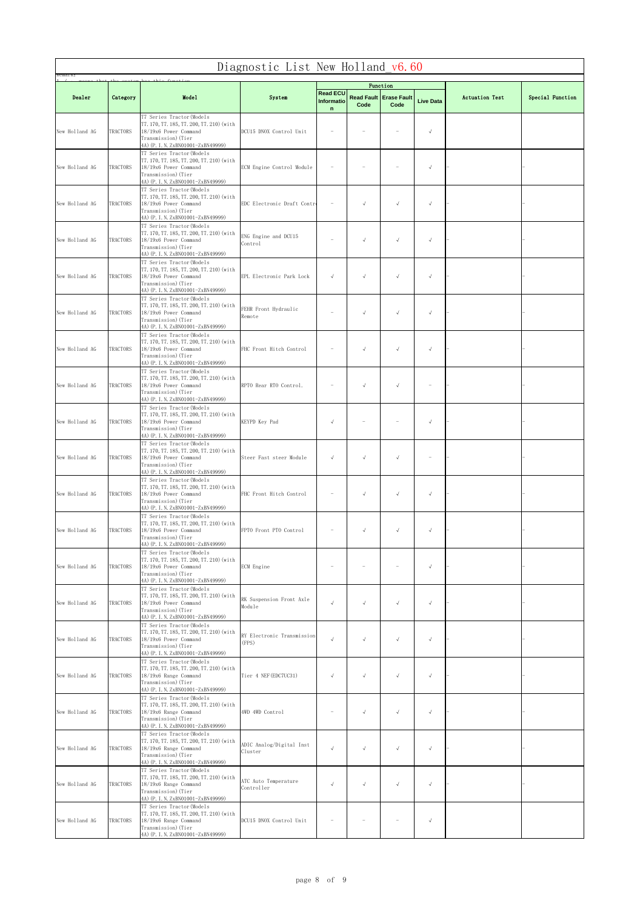| nemark:        | Diagnostic List New Holland v6.60 |                                                                                                                                                            |                                     |                                              |            |                                  |                  |                       |                  |  |  |
|----------------|-----------------------------------|------------------------------------------------------------------------------------------------------------------------------------------------------------|-------------------------------------|----------------------------------------------|------------|----------------------------------|------------------|-----------------------|------------------|--|--|
|                |                                   |                                                                                                                                                            |                                     |                                              |            | Function                         |                  |                       |                  |  |  |
| Dealer         | Category                          | Mode1                                                                                                                                                      | System                              | <b>Read ECU</b><br>Informatio<br>$\mathbf n$ | Code       | Read Fault   Erase Fault<br>Code | <b>Live Data</b> | <b>Actuation Test</b> | Special Function |  |  |
| New Holland AG | TRACTORS                          | T7 Series Tractor (Models<br>T7.170, T7.185, T7.200, T7.210) (with<br>18/19x6 Power Command<br>Transmission) (Tier<br>4A) (P. I. N. ZxBN01001-ZxBN49999)   | DCU15 DNOX Control Unit             |                                              |            |                                  | $\sqrt{}$        |                       |                  |  |  |
| New Holland AG | TRACTORS                          | T7 Series Tractor (Models<br>T7.170, T7.185, T7.200, T7.210) (with<br>18/19x6 Power Command<br>Transmission) (Tier<br>4A) (P. I. N. ZxBN01001-ZxBN49999)   | ECM Engine Control Module           |                                              |            |                                  | $\sqrt{}$        |                       |                  |  |  |
| New Holland AG | TRACTORS                          | T7 Series Tractor (Models<br>T7.170, T7.185, T7.200, T7.210) (with<br>18/19x6 Power Command<br>Transmission) (Tier<br>4A) (P. I. N. ZxBN01001-ZxBN49999)   | EDC Electronic Draft Contr          |                                              | $\sqrt{ }$ | $\sqrt{ }$                       | $\sqrt{}$        |                       |                  |  |  |
| New Holland AG | TRACTORS                          | T7 Series Tractor (Models<br>T7.170, T7.185, T7.200, T7.210) (with<br>18/19x6 Power Command<br>Transmission) (Tier<br>4A) (P. I. N. ZxBN01001-ZxBN49999)   | ENG Engine and DCU15<br>Control     |                                              | $\sqrt{ }$ | $\sqrt{ }$                       | $\sqrt{}$        |                       |                  |  |  |
| New Holland AG | TRACTORS                          | T7 Series Tractor (Models<br>T7.170, T7.185, T7.200, T7.210) (with<br>18/19x6 Power Command<br>Transmission) (Tier<br>4A) (P. I. N. ZxBN01001-ZxBN49999)   | EPL Electronic Park Lock            | $\sqrt{ }$                                   | $\sqrt{ }$ | $\sqrt{}$                        | $\sqrt{}$        |                       |                  |  |  |
| New Holland AG | TRACTORS                          | T7 Series Tractor (Models<br>T7.170, T7.185, T7.200, T7.210) (with<br>18/19x6 Power Command<br>Transmission) (Tier<br>4A) (P. I. N. ZxBN01001-ZxBN49999)   | FEHR Front Hydraulic<br>Remote      |                                              | $\sqrt{ }$ | $\sqrt{ }$                       | $\sqrt{}$        |                       |                  |  |  |
| New Holland AG | TRACTORS                          | T7 Series Tractor (Models<br>T7.170, T7.185, T7.200, T7.210) (with<br>18/19x6 Power Command<br>Transmission) (Tier<br>4A) (P. I. N. ZxBN01001-ZxBN49999)   | FHC Front Hitch Control             |                                              | $\sqrt{ }$ | $\sqrt{ }$                       | $\sqrt{ }$       |                       |                  |  |  |
| New Holland AG | TRACTORS                          | T7 Series Tractor (Models<br>T7.170, T7.185, T7.200, T7.210) (with<br>18/19x6 Power Command<br>Transmission) (Tier<br>4A) (P. I. N. ZxBN01001-ZxBN49999)   | RPTO Rear RTO Control.              |                                              | $\sqrt{ }$ | $\sqrt{ }$                       |                  |                       |                  |  |  |
| New Holland AG | TRACTORS                          | T7 Series Tractor (Models<br>T7.170, T7.185, T7.200, T7.210) (with<br>18/19x6 Power Command<br>Transmission) (Tier<br>4A) (P. I. N. ZxBN01001-ZxBN49999)   | KEYPD Key Pad                       | $\sqrt{ }$                                   |            |                                  | $\sqrt{}$        |                       |                  |  |  |
| New Holland AG | TRACTORS                          | T7 Series Tractor (Models<br>T7.170, T7.185, T7.200, T7.210) (with<br>18/19x6 Power Command<br>Transmission) (Tier<br>4A) (P. I. N. ZxBN01001-ZxBN49999)   | Steer Fast steer Module             | $\sqrt{ }$                                   | $\sqrt{ }$ | $\sqrt{ }$                       |                  |                       |                  |  |  |
| New Holland AG | TRACTORS                          | T7 Series Tractor (Models<br>T7.170, T7.185, T7.200, T7.210) (with<br>$18/19x6$ Power Command<br>Transmission) (Tier<br>4A) (P. I. N. ZxBN01001-ZxBN49999) | FHC Front Hitch Control             |                                              | $\sqrt{ }$ | $\sqrt{ }$                       | $\sqrt{ }$       |                       |                  |  |  |
| New Holland AG | <b>TRACTORS</b>                   | T7 Series Tractor (Models<br>T7.170, T7.185, T7.200, T7.210) (with<br>18/19x6 Power Command<br>Transmission) (Tier<br>4A) (P. I. N. ZxBN01001-ZxBN49999)   | FPTO Front PTO Control              |                                              | $\sqrt{ }$ | $\sqrt{ }$                       | $\sqrt{}$        |                       |                  |  |  |
| New Holland AG | TRACTORS                          | T7 Series Tractor (Models<br>T7.170, T7.185, T7.200, T7.210) (with<br>18/19x6 Power Command<br>Transmission) (Tier<br>4A) (P. I. N. ZxBN01001-ZxBN49999)   | <b>ECM</b> Engine                   |                                              |            |                                  | $\sqrt{}$        |                       |                  |  |  |
| New Holland AG | <b>TRACTORS</b>                   | T7 Series Tractor (Models<br>T7.170, T7.185, T7.200, T7.210) (with<br>18/19x6 Power Command<br>Transmission) (Tier<br>4A) (P. I. N. ZxBN01001-ZxBN49999)   | RK Suspension Front Axle<br>Module  | $\sqrt{ }$                                   | $\sqrt{ }$ | $\sqrt{ }$                       | $\sqrt{}$        |                       |                  |  |  |
| New Holland AG | TRACTORS                          | T7 Series Tractor (Models<br>T7.170, T7.185, T7.200, T7.210) (with<br>18/19x6 Power Command<br>Transmission) (Tier<br>4A) (P. I. N. ZxBN01001-ZxBN49999)   | RY Electronic Transmission<br>(FPS) | $\sqrt{ }$                                   | $\sqrt{ }$ | $\sqrt{ }$                       | $\sqrt{}$        |                       |                  |  |  |
| New Holland AG | TRACTORS                          | T7 Series Tractor (Models<br>T7.170, T7.185, T7.200, T7.210) (with<br>18/19x6 Range Command<br>Transmission) (Tier<br>4A) (P. I. N. ZxBN01001-ZxBN49999)   | Tier 4 NEF (EDC7UC31)               |                                              |            | $\sqrt{2}$                       | $\sqrt{ }$       |                       |                  |  |  |
| New Holland AG | TRACTORS                          | T7 Series Tractor (Models<br>T7.170, T7.185, T7.200, T7.210) (with<br>18/19x6 Range Command<br>Transmission) (Tier<br>4A) (P. I. N. ZxBN01001-ZxBN49999)   | 4WD 4WD Control                     |                                              | $\sqrt{ }$ | $\sqrt{ }$                       | $\sqrt{}$        |                       |                  |  |  |
| New Holland AG | TRACTORS                          | T7 Series Tractor (Models<br>T7.170, T7.185, T7.200, T7.210) (with<br>18/19x6 Range Command<br>Transmission) (Tier<br>4A) (P. I. N. ZxBN01001-ZxBN49999)   | ADIC Analog/Digital Inst<br>Cluster | $\sqrt{ }$                                   | $\sqrt{ }$ | $\sqrt{ }$                       | $\sqrt{}$        |                       |                  |  |  |
| New Holland AG | <b>TRACTORS</b>                   | T7 Series Tractor (Models<br>T7.170, T7.185, T7.200, T7.210) (with<br>18/19x6 Range Command<br>Transmission) (Tier<br>4A) (P. I. N. ZxBN01001-ZxBN49999)   | ATC Auto Temperature<br>Controller  | $\sqrt{ }$                                   | $\sqrt{ }$ | $\sqrt{ }$                       | $\sqrt{}$        |                       |                  |  |  |
| New Holland AG | TRACTORS                          | T7 Series Tractor (Models<br>T7.170, T7.185, T7.200, T7.210) (with<br>18/19x6 Range Command<br>Transmission) (Tier<br>4A) (P. I. N. ZxBN01001-ZxBN49999)   | DCU15 DNOX Control Unit             |                                              |            |                                  | $\sqrt{}$        |                       |                  |  |  |